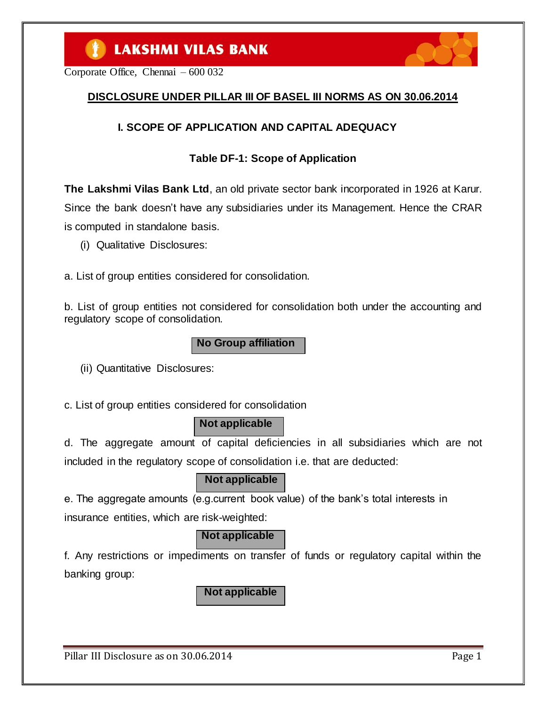Corporate Office, Chennai – 600 032

### **DISCLOSURE UNDER PILLAR III OF BASEL III NORMS AS ON 30.06.2014**

### **I. SCOPE OF APPLICATION AND CAPITAL ADEQUACY**

### **Table DF-1: Scope of Application**

**The Lakshmi Vilas Bank Ltd**, an old private sector bank incorporated in 1926 at Karur. Since the bank doesn"t have any subsidiaries under its Management. Hence the CRAR is computed in standalone basis.

(i) Qualitative Disclosures:

a. List of group entities considered for consolidation.

b. List of group entities not considered for consolidation both under the accounting and regulatory scope of consolidation.

**No Group affiliation**

(ii) Quantitative Disclosures:

c. List of group entities considered for consolidation

### **Not applicable**

d. The aggregate amount of capital deficiencies in all subsidiaries which are not included in the regulatory scope of consolidation i.e. that are deducted:

### **Not applicable**

e. The aggregate amounts (e.g.current book value) of the bank"s total interests in insurance entities, which are risk-weighted:

### **Not applicable**

f. Any restrictions or impediments on transfer of funds or regulatory capital within the banking group:

**Not applicable**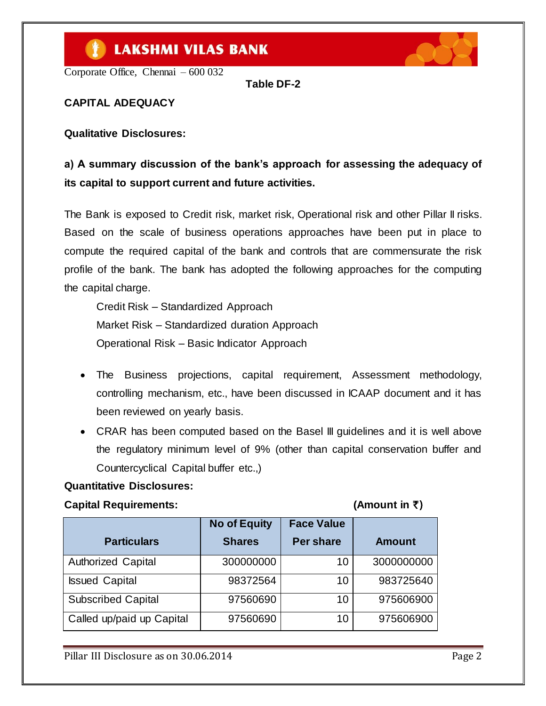Corporate Office, Chennai – 600 032

**Table DF-2**

**CAPITAL ADEQUACY**

**Qualitative Disclosures:**

# **a) A summary discussion of the bank's approach for assessing the adequacy of its capital to support current and future activities.**

The Bank is exposed to Credit risk, market risk, Operational risk and other Pillar II risks. Based on the scale of business operations approaches have been put in place to compute the required capital of the bank and controls that are commensurate the risk profile of the bank. The bank has adopted the following approaches for the computing the capital charge.

Credit Risk – Standardized Approach Market Risk – Standardized duration Approach Operational Risk – Basic Indicator Approach

- The Business projections, capital requirement, Assessment methodology, controlling mechanism, etc., have been discussed in ICAAP document and it has been reviewed on yearly basis.
- CRAR has been computed based on the Basel III guidelines and it is well above the regulatory minimum level of 9% (other than capital conservation buffer and Countercyclical Capital buffer etc.,)

#### **Quantitative Disclosures:**

#### **Capital Requirements: (Amount in** `)

| <b>Particulars</b>        | <b>No of Equity</b><br><b>Shares</b> | <b>Face Value</b><br><b>Per share</b> | <b>Amount</b> |
|---------------------------|--------------------------------------|---------------------------------------|---------------|
| Authorized Capital        | 300000000                            | 10                                    | 3000000000    |
| <b>Issued Capital</b>     | 98372564                             | 10                                    | 983725640     |
| <b>Subscribed Capital</b> | 97560690                             | 10                                    | 975606900     |
| Called up/paid up Capital | 97560690                             | 10                                    | 975606900     |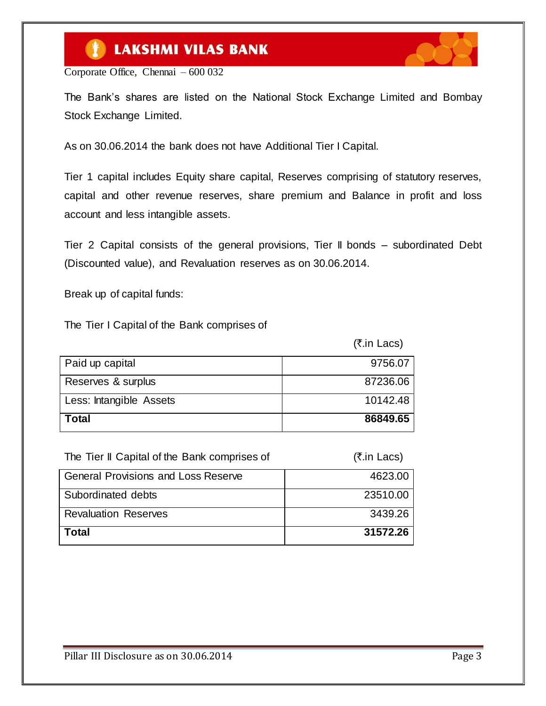

 $(\bar{z}$  in Lace)

Corporate Office, Chennai – 600 032

The Bank"s shares are listed on the National Stock Exchange Limited and Bombay Stock Exchange Limited.

As on 30.06.2014 the bank does not have Additional Tier I Capital.

Tier 1 capital includes Equity share capital, Reserves comprising of statutory reserves, capital and other revenue reserves, share premium and Balance in profit and loss account and less intangible assets.

Tier 2 Capital consists of the general provisions, Tier II bonds – subordinated Debt (Discounted value), and Revaluation reserves as on 30.06.2014.

Break up of capital funds:

The Tier I Capital of the Bank comprises of

|                         | $\frac{1}{1}$ |
|-------------------------|---------------|
| Paid up capital         | 9756.07       |
| Reserves & surplus      | 87236.06      |
| Less: Intangible Assets | 10142.48      |
| Total                   | 86849.65      |

| The Tier II Capital of the Bank comprises of | (₹.in Lacs) |
|----------------------------------------------|-------------|
| <b>General Provisions and Loss Reserve</b>   | 4623.00     |
| Subordinated debts                           | 23510.00    |
| <b>Revaluation Reserves</b>                  | 3439.26     |
| Total                                        | 31572.26    |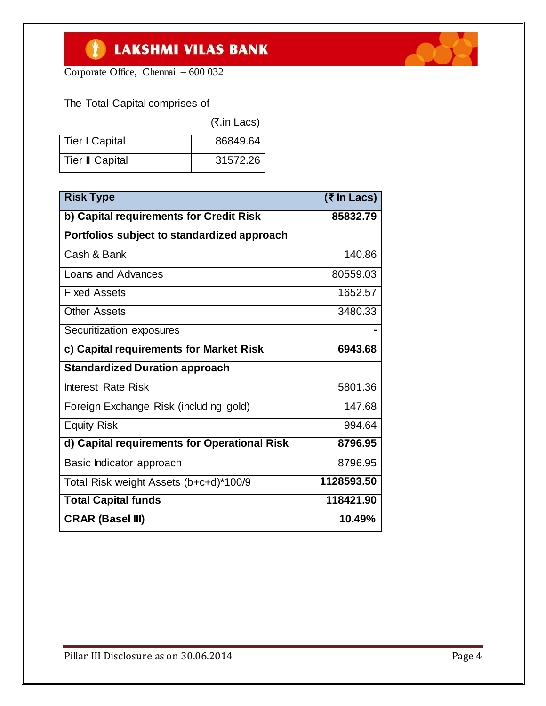

Corporate Office, Chennai – 600 032

### The Total Capital comprises of

|                       | (₹.in Lacs) |
|-----------------------|-------------|
| <b>Tier I Capital</b> | 86849.64    |
| Tier II Capital       | 31572.26    |

| <b>Risk Type</b>                             | (₹ In Lacs) |
|----------------------------------------------|-------------|
| b) Capital requirements for Credit Risk      | 85832.79    |
| Portfolios subject to standardized approach  |             |
| Cash & Bank                                  | 140.86      |
| Loans and Advances                           | 80559.03    |
| <b>Fixed Assets</b>                          | 1652.57     |
| <b>Other Assets</b>                          | 3480.33     |
| Securitization exposures                     |             |
| c) Capital requirements for Market Risk      | 6943.68     |
| <b>Standardized Duration approach</b>        |             |
| <b>Interest Rate Risk</b>                    | 5801.36     |
| Foreign Exchange Risk (including gold)       | 147.68      |
| <b>Equity Risk</b>                           | 994.64      |
| d) Capital requirements for Operational Risk | 8796.95     |
| Basic Indicator approach                     | 8796.95     |
| Total Risk weight Assets (b+c+d)*100/9       | 1128593.50  |
| <b>Total Capital funds</b>                   | 118421.90   |
| <b>CRAR (Basel III)</b>                      | 10.49%      |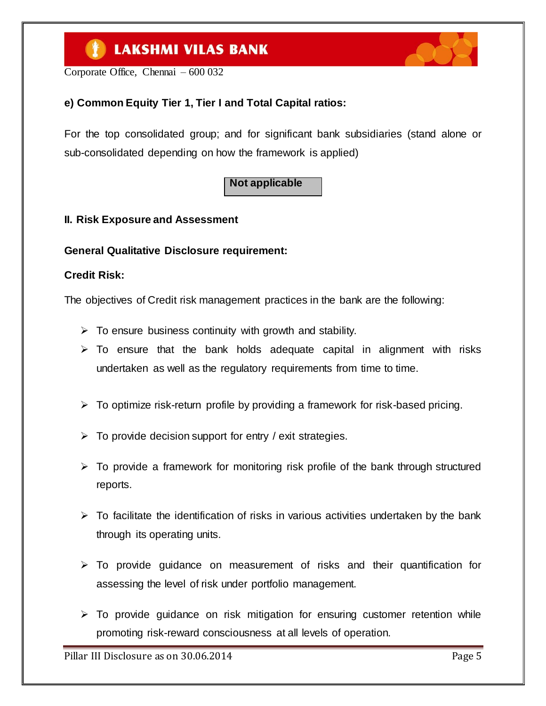Corporate Office, Chennai – 600 032

### **e) Common Equity Tier 1, Tier I and Total Capital ratios:**

For the top consolidated group; and for significant bank subsidiaries (stand alone or sub-consolidated depending on how the framework is applied)

### **Not applicable**

#### **II. Risk Exposure and Assessment**

**General Qualitative Disclosure requirement:**

#### **Credit Risk:**

The objectives of Credit risk management practices in the bank are the following:

- $\triangleright$  To ensure business continuity with growth and stability.
- $\triangleright$  To ensure that the bank holds adequate capital in alignment with risks undertaken as well as the regulatory requirements from time to time.
- $\triangleright$  To optimize risk-return profile by providing a framework for risk-based pricing.
- $\triangleright$  To provide decision support for entry / exit strategies.
- $\triangleright$  To provide a framework for monitoring risk profile of the bank through structured reports.
- $\triangleright$  To facilitate the identification of risks in various activities undertaken by the bank through its operating units.
- $\triangleright$  To provide guidance on measurement of risks and their quantification for assessing the level of risk under portfolio management.
- $\triangleright$  To provide guidance on risk mitigation for ensuring customer retention while promoting risk-reward consciousness at all levels of operation.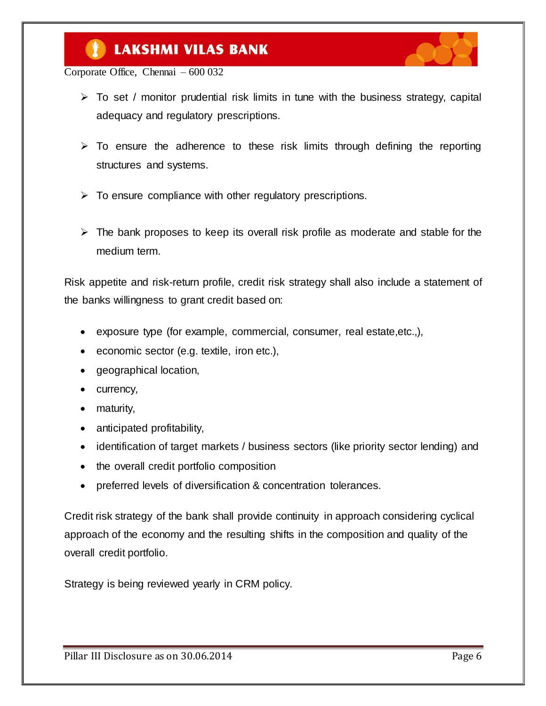Corporate Office, Chennai – 600 032

- $\triangleright$  To set / monitor prudential risk limits in tune with the business strategy, capital adequacy and regulatory prescriptions.
- $\triangleright$  To ensure the adherence to these risk limits through defining the reporting structures and systems.
- $\triangleright$  To ensure compliance with other regulatory prescriptions.
- $\triangleright$  The bank proposes to keep its overall risk profile as moderate and stable for the medium term.

Risk appetite and risk-return profile, credit risk strategy shall also include a statement of the banks willingness to grant credit based on:

- exposure type (for example, commercial, consumer, real estate,etc.,),
- economic sector (e.g. textile, iron etc.),
- geographical location,
- currency,
- maturity,
- anticipated profitability,
- identification of target markets / business sectors (like priority sector lending) and
- the overall credit portfolio composition
- preferred levels of diversification & concentration tolerances.

Credit risk strategy of the bank shall provide continuity in approach considering cyclical approach of the economy and the resulting shifts in the composition and quality of the overall credit portfolio.

Strategy is being reviewed yearly in CRM policy.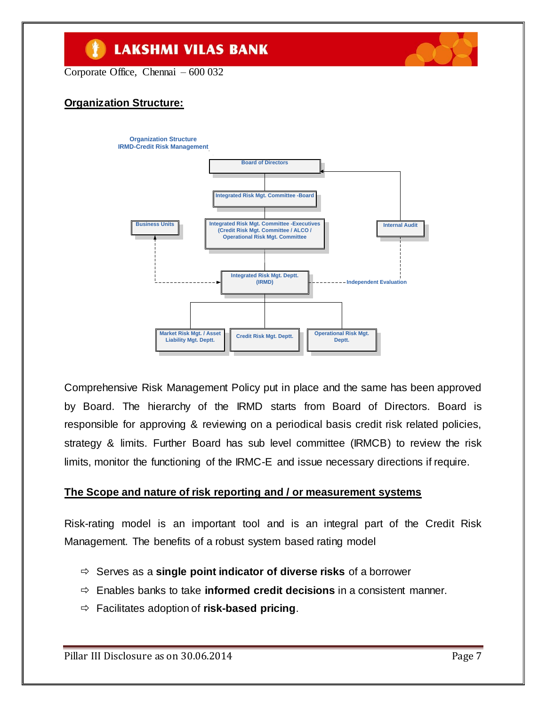Corporate Office, Chennai – 600 032

### **Organization Structure:**



Comprehensive Risk Management Policy put in place and the same has been approved by Board. The hierarchy of the IRMD starts from Board of Directors. Board is responsible for approving & reviewing on a periodical basis credit risk related policies, strategy & limits. Further Board has sub level committee (IRMCB) to review the risk limits, monitor the functioning of the IRMC-E and issue necessary directions if require.

#### **The Scope and nature of risk reporting and / or measurement systems**

Risk-rating model is an important tool and is an integral part of the Credit Risk Management. The benefits of a robust system based rating model

- Serves as a **single point indicator of diverse risks** of a borrower
- Enables banks to take **informed credit decisions** in a consistent manner.
- Facilitates adoption of **risk-based pricing**.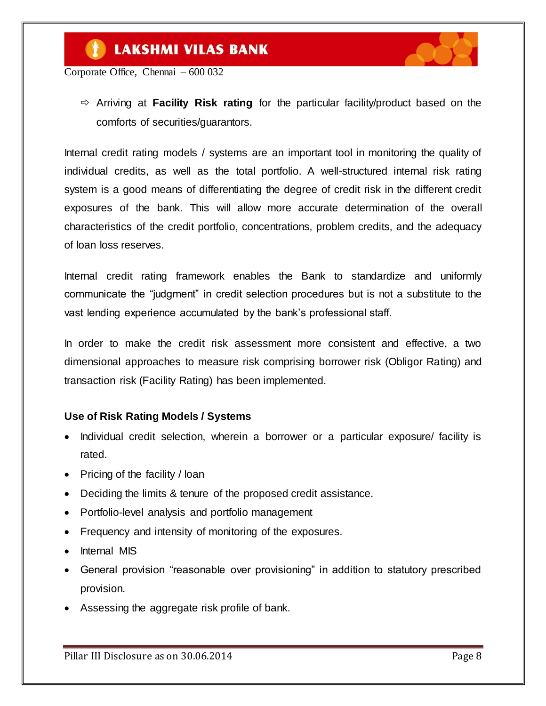

Corporate Office, Chennai – 600 032

 Arriving at **Facility Risk rating** for the particular facility/product based on the comforts of securities/guarantors.

Internal credit rating models / systems are an important tool in monitoring the quality of individual credits, as well as the total portfolio. A well-structured internal risk rating system is a good means of differentiating the degree of credit risk in the different credit exposures of the bank. This will allow more accurate determination of the overall characteristics of the credit portfolio, concentrations, problem credits, and the adequacy of loan loss reserves.

Internal credit rating framework enables the Bank to standardize and uniformly communicate the "judgment" in credit selection procedures but is not a substitute to the vast lending experience accumulated by the bank"s professional staff.

In order to make the credit risk assessment more consistent and effective, a two dimensional approaches to measure risk comprising borrower risk (Obligor Rating) and transaction risk (Facility Rating) has been implemented.

#### **Use of Risk Rating Models / Systems**

- Individual credit selection, wherein a borrower or a particular exposure/ facility is rated.
- Pricing of the facility / loan
- Deciding the limits & tenure of the proposed credit assistance.
- Portfolio-level analysis and portfolio management
- Frequency and intensity of monitoring of the exposures.
- Internal MIS
- General provision "reasonable over provisioning" in addition to statutory prescribed provision.
- Assessing the aggregate risk profile of bank.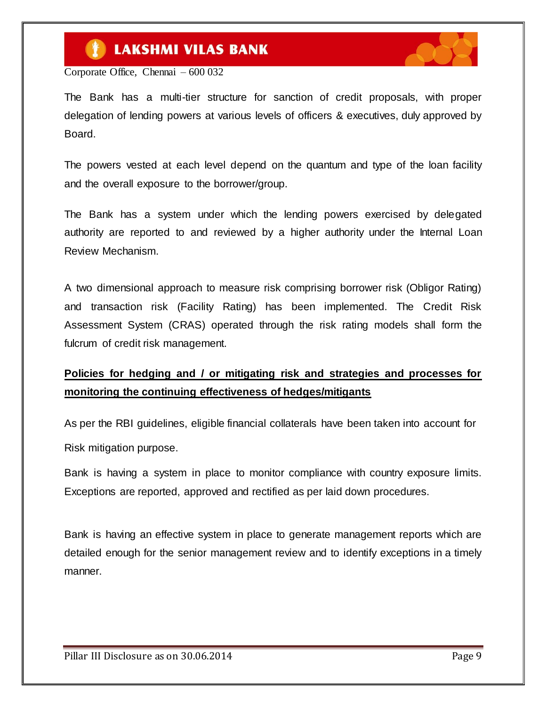

Corporate Office, Chennai – 600 032

The Bank has a multi-tier structure for sanction of credit proposals, with proper delegation of lending powers at various levels of officers & executives, duly approved by Board.

The powers vested at each level depend on the quantum and type of the loan facility and the overall exposure to the borrower/group.

The Bank has a system under which the lending powers exercised by delegated authority are reported to and reviewed by a higher authority under the Internal Loan Review Mechanism.

A two dimensional approach to measure risk comprising borrower risk (Obligor Rating) and transaction risk (Facility Rating) has been implemented. The Credit Risk Assessment System (CRAS) operated through the risk rating models shall form the fulcrum of credit risk management.

### **Policies for hedging and / or mitigating risk and strategies and processes for monitoring the continuing effectiveness of hedges/mitigants**

As per the RBI guidelines, eligible financial collaterals have been taken into account for Risk mitigation purpose.

Bank is having a system in place to monitor compliance with country exposure limits. Exceptions are reported, approved and rectified as per laid down procedures.

Bank is having an effective system in place to generate management reports which are detailed enough for the senior management review and to identify exceptions in a timely manner.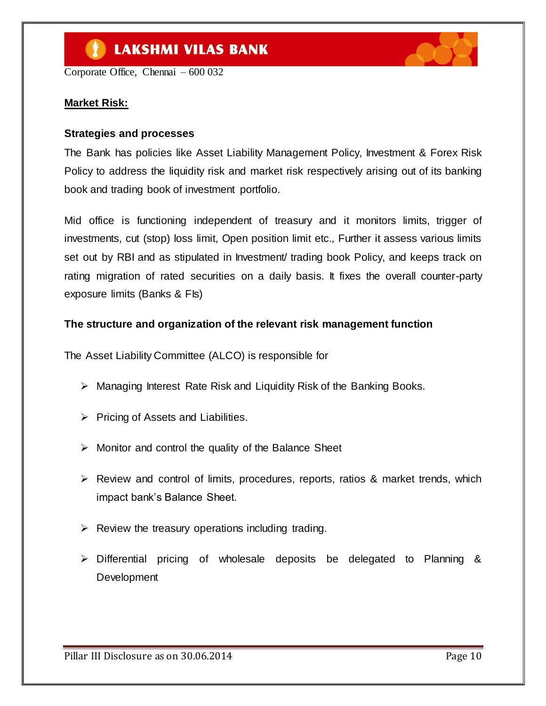Corporate Office, Chennai – 600 032

#### **Market Risk:**

#### **Strategies and processes**

The Bank has policies like Asset Liability Management Policy, Investment & Forex Risk Policy to address the liquidity risk and market risk respectively arising out of its banking book and trading book of investment portfolio.

Mid office is functioning independent of treasury and it monitors limits, trigger of investments, cut (stop) loss limit, Open position limit etc., Further it assess various limits set out by RBI and as stipulated in Investment/ trading book Policy, and keeps track on rating migration of rated securities on a daily basis. It fixes the overall counter-party exposure limits (Banks & FIs)

#### **The structure and organization of the relevant risk management function**

The Asset Liability Committee (ALCO) is responsible for

- $\triangleright$  Managing Interest Rate Risk and Liquidity Risk of the Banking Books.
- $\triangleright$  Pricing of Assets and Liabilities.
- $\triangleright$  Monitor and control the quality of the Balance Sheet
- $\triangleright$  Review and control of limits, procedures, reports, ratios & market trends, which impact bank"s Balance Sheet.
- $\triangleright$  Review the treasury operations including trading.
- $\triangleright$  Differential pricing of wholesale deposits be delegated to Planning & **Development**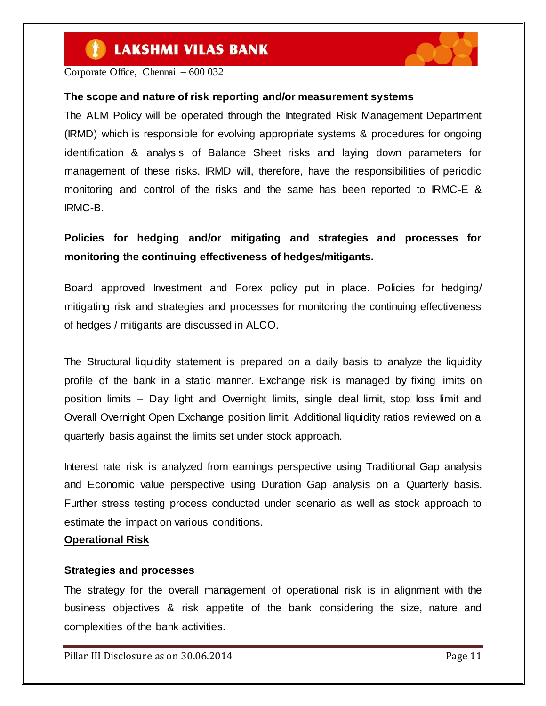

Corporate Office, Chennai – 600 032

#### **The scope and nature of risk reporting and/or measurement systems**

The ALM Policy will be operated through the Integrated Risk Management Department (IRMD) which is responsible for evolving appropriate systems & procedures for ongoing identification & analysis of Balance Sheet risks and laying down parameters for management of these risks. IRMD will, therefore, have the responsibilities of periodic monitoring and control of the risks and the same has been reported to IRMC-E & IRMC-B.

### **Policies for hedging and/or mitigating and strategies and processes for monitoring the continuing effectiveness of hedges/mitigants.**

Board approved Investment and Forex policy put in place. Policies for hedging/ mitigating risk and strategies and processes for monitoring the continuing effectiveness of hedges / mitigants are discussed in ALCO.

The Structural liquidity statement is prepared on a daily basis to analyze the liquidity profile of the bank in a static manner. Exchange risk is managed by fixing limits on position limits – Day light and Overnight limits, single deal limit, stop loss limit and Overall Overnight Open Exchange position limit. Additional liquidity ratios reviewed on a quarterly basis against the limits set under stock approach.

Interest rate risk is analyzed from earnings perspective using Traditional Gap analysis and Economic value perspective using Duration Gap analysis on a Quarterly basis. Further stress testing process conducted under scenario as well as stock approach to estimate the impact on various conditions.

#### **Operational Risk**

#### **Strategies and processes**

The strategy for the overall management of operational risk is in alignment with the business objectives & risk appetite of the bank considering the size, nature and complexities of the bank activities.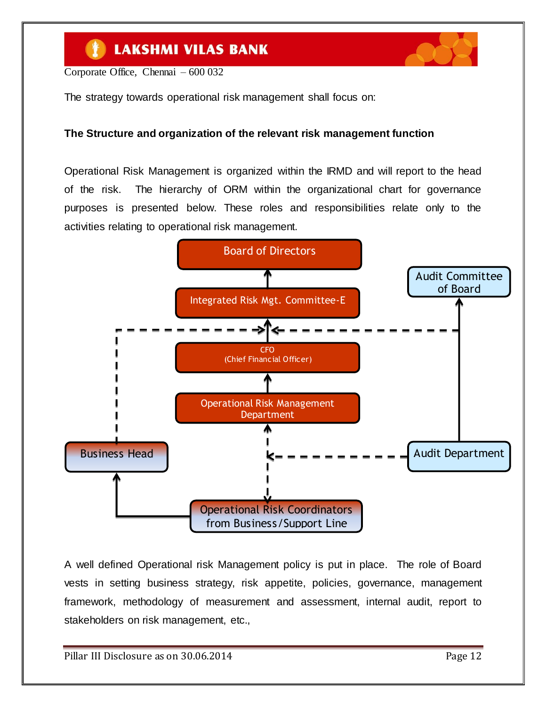Corporate Office, Chennai – 600 032

The strategy towards operational risk management shall focus on:

#### **The Structure and organization of the relevant risk management function**

Operational Risk Management is organized within the IRMD and will report to the head of the risk. The hierarchy of ORM within the organizational chart for governance purposes is presented below. These roles and responsibilities relate only to the activities relating to operational risk management.



A well defined Operational risk Management policy is put in place. The role of Board vests in setting business strategy, risk appetite, policies, governance, management framework, methodology of measurement and assessment, internal audit, report to stakeholders on risk management, etc.,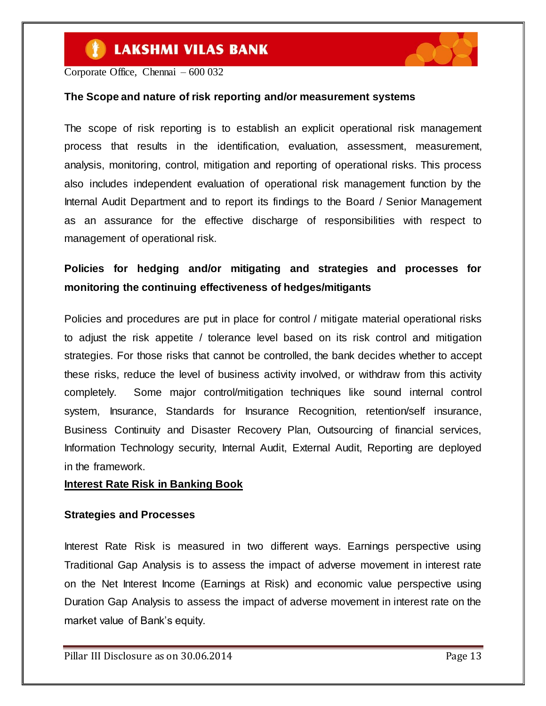

Corporate Office, Chennai – 600 032

#### **The Scope and nature of risk reporting and/or measurement systems**

The scope of risk reporting is to establish an explicit operational risk management process that results in the identification, evaluation, assessment, measurement, analysis, monitoring, control, mitigation and reporting of operational risks. This process also includes independent evaluation of operational risk management function by the Internal Audit Department and to report its findings to the Board / Senior Management as an assurance for the effective discharge of responsibilities with respect to management of operational risk.

### **Policies for hedging and/or mitigating and strategies and processes for monitoring the continuing effectiveness of hedges/mitigants**

Policies and procedures are put in place for control / mitigate material operational risks to adjust the risk appetite / tolerance level based on its risk control and mitigation strategies. For those risks that cannot be controlled, the bank decides whether to accept these risks, reduce the level of business activity involved, or withdraw from this activity completely. Some major control/mitigation techniques like sound internal control system, Insurance, Standards for Insurance Recognition, retention/self insurance, Business Continuity and Disaster Recovery Plan, Outsourcing of financial services, Information Technology security, Internal Audit, External Audit, Reporting are deployed in the framework.

#### **Interest Rate Risk in Banking Book**

#### **Strategies and Processes**

Interest Rate Risk is measured in two different ways. Earnings perspective using Traditional Gap Analysis is to assess the impact of adverse movement in interest rate on the Net Interest Income (Earnings at Risk) and economic value perspective using Duration Gap Analysis to assess the impact of adverse movement in interest rate on the market value of Bank's equity.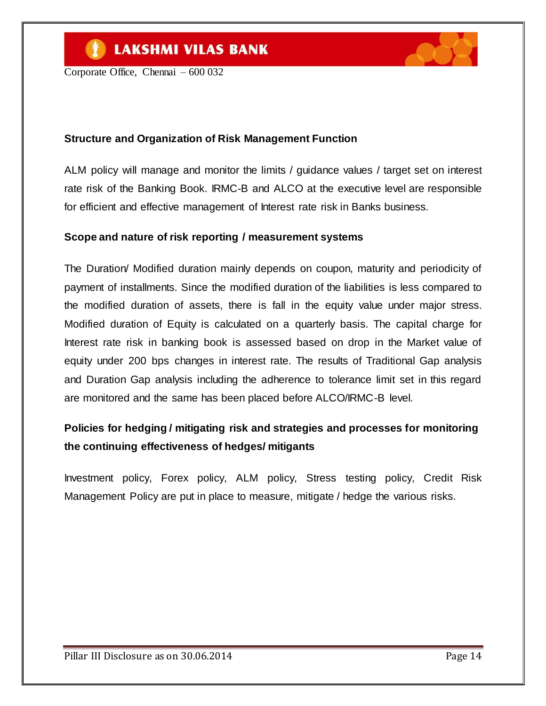

Corporate Office, Chennai – 600 032

### **Structure and Organization of Risk Management Function**

ALM policy will manage and monitor the limits / guidance values / target set on interest rate risk of the Banking Book. IRMC-B and ALCO at the executive level are responsible for efficient and effective management of Interest rate risk in Banks business.

#### **Scope and nature of risk reporting / measurement systems**

The Duration/ Modified duration mainly depends on coupon, maturity and periodicity of payment of installments. Since the modified duration of the liabilities is less compared to the modified duration of assets, there is fall in the equity value under major stress. Modified duration of Equity is calculated on a quarterly basis. The capital charge for Interest rate risk in banking book is assessed based on drop in the Market value of equity under 200 bps changes in interest rate. The results of Traditional Gap analysis and Duration Gap analysis including the adherence to tolerance limit set in this regard are monitored and the same has been placed before ALCO/IRMC-B level.

# **Policies for hedging / mitigating risk and strategies and processes for monitoring the continuing effectiveness of hedges/ mitigants**

Investment policy, Forex policy, ALM policy, Stress testing policy, Credit Risk Management Policy are put in place to measure, mitigate / hedge the various risks.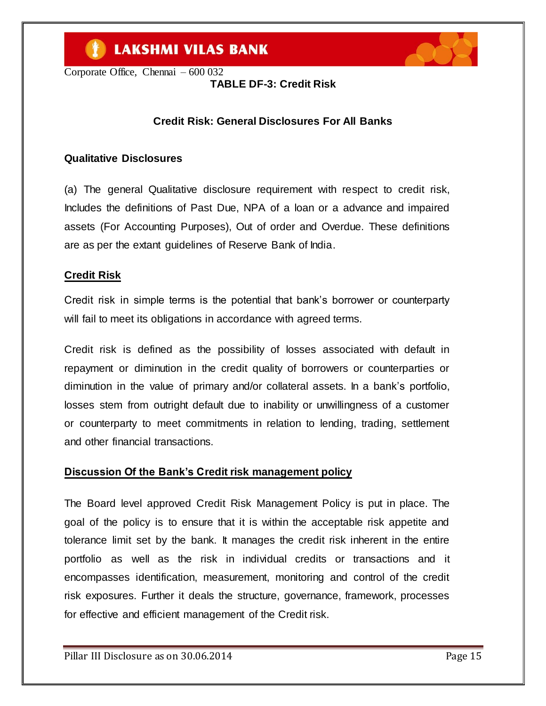



**TABLE DF-3: Credit Risk**

### **Credit Risk: General Disclosures For All Banks**

#### **Qualitative Disclosures**

(a) The general Qualitative disclosure requirement with respect to credit risk, Includes the definitions of Past Due, NPA of a loan or a advance and impaired assets (For Accounting Purposes), Out of order and Overdue. These definitions are as per the extant guidelines of Reserve Bank of India.

#### **Credit Risk**

Credit risk in simple terms is the potential that bank"s borrower or counterparty will fail to meet its obligations in accordance with agreed terms.

Credit risk is defined as the possibility of losses associated with default in repayment or diminution in the credit quality of borrowers or counterparties or diminution in the value of primary and/or collateral assets. In a bank"s portfolio, losses stem from outright default due to inability or unwillingness of a customer or counterparty to meet commitments in relation to lending, trading, settlement and other financial transactions.

#### **Discussion Of the Bank's Credit risk management policy**

The Board level approved Credit Risk Management Policy is put in place. The goal of the policy is to ensure that it is within the acceptable risk appetite and tolerance limit set by the bank. It manages the credit risk inherent in the entire portfolio as well as the risk in individual credits or transactions and it encompasses identification, measurement, monitoring and control of the credit risk exposures. Further it deals the structure, governance, framework, processes for effective and efficient management of the Credit risk.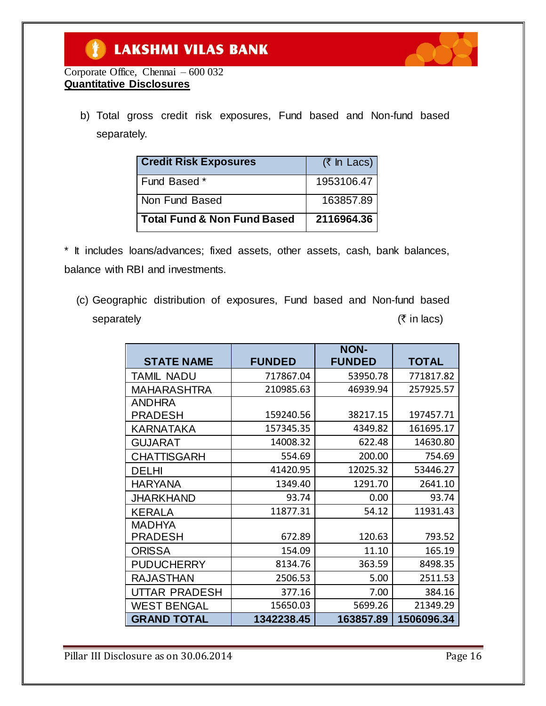

### Corporate Office, Chennai – 600 032 **Quantitative Disclosures**

b) Total gross credit risk exposures, Fund based and Non-fund based separately.

| <b>Credit Risk Exposures</b>           | (₹ In Lacs) |
|----------------------------------------|-------------|
| Fund Based *                           | 1953106.47  |
| Non Fund Based                         | 163857.89   |
| <b>Total Fund &amp; Non Fund Based</b> | 2116964.36  |

\* It includes loans/advances; fixed assets, other assets, cash, bank balances, balance with RBI and investments.

(c) Geographic distribution of exposures, Fund based and Non-fund based separately  $(\bar{\tau}$  in lacs)

|                    |               | <b>NON-</b>   |              |
|--------------------|---------------|---------------|--------------|
| <b>STATE NAME</b>  | <b>FUNDED</b> | <b>FUNDED</b> | <b>TOTAL</b> |
| <b>TAMIL NADU</b>  | 717867.04     | 53950.78      | 771817.82    |
| <b>MAHARASHTRA</b> | 210985.63     | 46939.94      | 257925.57    |
| <b>ANDHRA</b>      |               |               |              |
| PRADESH            | 159240.56     | 38217.15      | 197457.71    |
| KARNATAKA          | 157345.35     | 4349.82       | 161695.17    |
| <b>GUJARAT</b>     | 14008.32      | 622.48        | 14630.80     |
| <b>CHATTISGARH</b> | 554.69        | 200.00        | 754.69       |
| <b>DELHI</b>       | 41420.95      | 12025.32      | 53446.27     |
| <b>HARYANA</b>     | 1349.40       | 1291.70       | 2641.10      |
| JHARKHAND          | 93.74         | 0.00          | 93.74        |
| <b>KERALA</b>      | 11877.31      | 54.12         | 11931.43     |
| <b>MADHYA</b>      |               |               |              |
| <b>PRADESH</b>     | 672.89        | 120.63        | 793.52       |
| <b>ORISSA</b>      | 154.09        | 11.10         | 165.19       |
| <b>PUDUCHERRY</b>  | 8134.76       | 363.59        | 8498.35      |
| <b>RAJASTHAN</b>   | 2506.53       | 5.00          | 2511.53      |
| UTTAR PRADESH      | 377.16        | 7.00          | 384.16       |
| <b>WEST BENGAL</b> | 15650.03      | 5699.26       | 21349.29     |
| <b>GRAND TOTAL</b> | 1342238.45    | 163857.89     | 1506096.34   |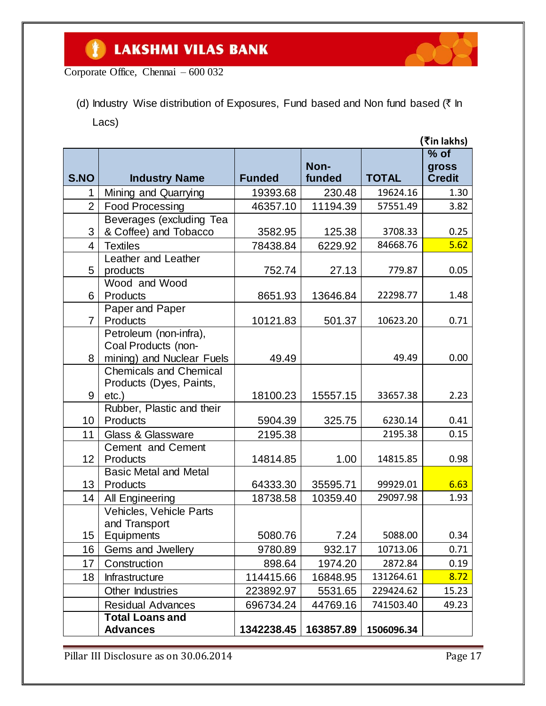

Corporate Office, Chennai – 600 032

(d) Industry Wise distribution of Exposures, Fund based and Non fund based ( $\bar{\tau}$  In Lacs)

|                 |                                                                            |               |                |              | (₹in lakhs)                      |
|-----------------|----------------------------------------------------------------------------|---------------|----------------|--------------|----------------------------------|
| S.NO            | <b>Industry Name</b>                                                       | <b>Funded</b> | Non-<br>funded | <b>TOTAL</b> | $%$ of<br>gross<br><b>Credit</b> |
| 1               | Mining and Quarrying                                                       | 19393.68      | 230.48         | 19624.16     | 1.30                             |
| $\overline{2}$  | <b>Food Processing</b>                                                     | 46357.10      | 11194.39       | 57551.49     | 3.82                             |
| 3               | Beverages (excluding Tea<br>& Coffee) and Tobacco                          | 3582.95       | 125.38         | 3708.33      | 0.25                             |
| 4               | <b>Textiles</b>                                                            | 78438.84      | 6229.92        | 84668.76     | 5.62                             |
| 5               | Leather and Leather<br>products                                            | 752.74        | 27.13          | 779.87       | 0.05                             |
| 6               | Wood and Wood<br>Products                                                  | 8651.93       | 13646.84       | 22298.77     | 1.48                             |
| $\overline{7}$  | Paper and Paper<br>Products                                                | 10121.83      | 501.37         | 10623.20     | 0.71                             |
| 8               | Petroleum (non-infra),<br>Coal Products (non-<br>mining) and Nuclear Fuels | 49.49         |                | 49.49        | 0.00                             |
|                 | <b>Chemicals and Chemical</b><br>Products (Dyes, Paints,                   |               |                |              |                                  |
| 9               | $etc.$ )                                                                   | 18100.23      | 15557.15       | 33657.38     | 2.23                             |
| 10              | Rubber, Plastic and their<br>Products                                      | 5904.39       | 325.75         | 6230.14      | 0.41                             |
| 11              | <b>Glass &amp; Glassware</b>                                               | 2195.38       |                | 2195.38      | 0.15                             |
| 12 <sub>2</sub> | Cement and Cement<br>Products                                              | 14814.85      | 1.00           | 14815.85     | 0.98                             |
| 13              | <b>Basic Metal and Metal</b><br>Products                                   | 64333.30      | 35595.71       | 99929.01     | 6.63                             |
| 14              | All Engineering                                                            | 18738.58      | 10359.40       | 29097.98     | 1.93                             |
| 15              | Vehicles, Vehicle Parts<br>and Transport<br>Equipments                     | 5080.76       | 7.24           | 5088.00      | 0.34                             |
| 16              | Gems and Jwellery                                                          | 9780.89       | 932.17         | 10713.06     | 0.71                             |
| 17              | Construction                                                               | 898.64        | 1974.20        | 2872.84      | 0.19                             |
| 18              | Infrastructure                                                             | 114415.66     | 16848.95       | 131264.61    | 8.72                             |
|                 | Other Industries                                                           | 223892.97     | 5531.65        | 229424.62    | 15.23                            |
|                 | <b>Residual Advances</b>                                                   | 696734.24     | 44769.16       | 741503.40    | 49.23                            |
|                 | <b>Total Loans and</b><br><b>Advances</b>                                  | 1342238.45    | 163857.89      | 1506096.34   |                                  |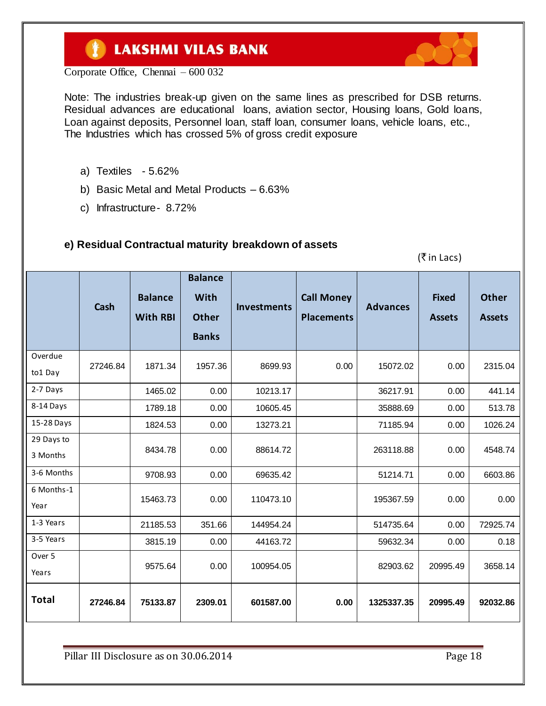

Corporate Office, Chennai – 600 032

Note: The industries break-up given on the same lines as prescribed for DSB returns. Residual advances are educational loans, aviation sector, Housing loans, Gold loans, Loan against deposits, Personnel loan, staff loan, consumer loans, vehicle loans, etc., The Industries which has crossed 5% of gross credit exposure

- a) Textiles 5.62%
- b) Basic Metal and Metal Products 6.63%
- c) Infrastructure- 8.72%

### **e) Residual Contractual maturity breakdown of assets**

 $(\bar{\bar{\tau}}$  in Lacs)

|                        | Cash     | <b>Balance</b><br><b>With RBI</b> | <b>Balance</b><br>With<br><b>Other</b><br><b>Banks</b> | <b>Investments</b> | <b>Call Money</b><br><b>Placements</b> | <b>Advances</b> | <b>Fixed</b><br><b>Assets</b> | <b>Other</b><br><b>Assets</b> |
|------------------------|----------|-----------------------------------|--------------------------------------------------------|--------------------|----------------------------------------|-----------------|-------------------------------|-------------------------------|
| Overdue<br>to1 Day     | 27246.84 | 1871.34                           | 1957.36                                                | 8699.93            | 0.00                                   | 15072.02        | 0.00                          | 2315.04                       |
| 2-7 Days               |          | 1465.02                           | 0.00                                                   | 10213.17           |                                        | 36217.91        | 0.00                          | 441.14                        |
| 8-14 Days              |          | 1789.18                           | 0.00                                                   | 10605.45           |                                        | 35888.69        | 0.00                          | 513.78                        |
| 15-28 Days             |          | 1824.53                           | 0.00                                                   | 13273.21           |                                        | 71185.94        | 0.00                          | 1026.24                       |
| 29 Days to<br>3 Months |          | 8434.78                           | 0.00                                                   | 88614.72           |                                        | 263118.88       | 0.00                          | 4548.74                       |
| 3-6 Months             |          | 9708.93                           | 0.00                                                   | 69635.42           |                                        | 51214.71        | 0.00                          | 6603.86                       |
| 6 Months-1<br>Year     |          | 15463.73                          | 0.00                                                   | 110473.10          |                                        | 195367.59       | 0.00                          | 0.00                          |
| 1-3 Years              |          | 21185.53                          | 351.66                                                 | 144954.24          |                                        | 514735.64       | 0.00                          | 72925.74                      |
| 3-5 Years              |          | 3815.19                           | 0.00                                                   | 44163.72           |                                        | 59632.34        | 0.00                          | 0.18                          |
| Over 5<br>Years        |          | 9575.64                           | 0.00                                                   | 100954.05          |                                        | 82903.62        | 20995.49                      | 3658.14                       |
| <b>Total</b>           | 27246.84 | 75133.87                          | 2309.01                                                | 601587.00          | 0.00                                   | 1325337.35      | 20995.49                      | 92032.86                      |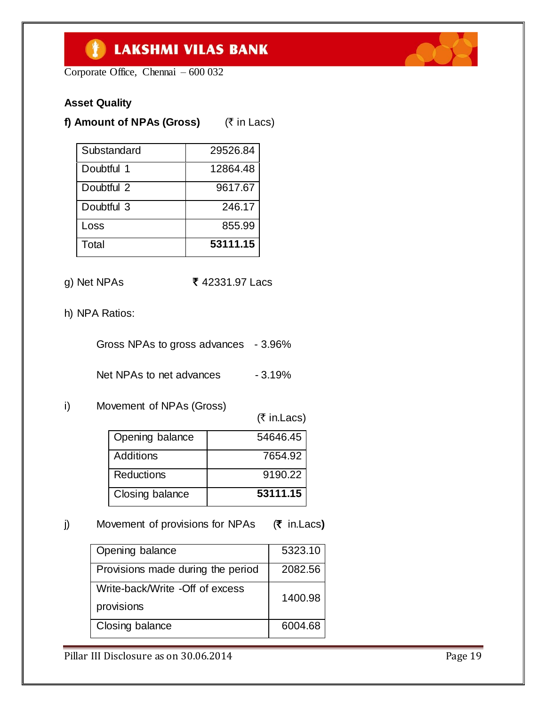Corporate Office, Chennai – 600 032

### **Asset Quality**

**f) Amount of NPAs (Gross)** ( $\bar{\tau}$  in Lacs)

| Substandard | 29526.84 |
|-------------|----------|
| Doubtful 1  | 12864.48 |
| Doubtful 2  | 9617.67  |
| Doubtful 3  | 246.17   |
| Loss        | 855.99   |
| Total       | 53111.15 |

- g) Net NPAs **₹** 42331.97 Lacs
- h) NPA Ratios:

Gross NPAs to gross advances - 3.96%

Net NPAs to net advances - 3.19%

i) Movement of NPAs (Gross)

 $($ ₹ in.Lacs)

| Opening balance | 54646.45 |
|-----------------|----------|
| Additions       | 7654.92  |
| Reductions      | 9190.22  |
| Closing balance | 53111.15 |

j) Movement of provisions for NPAs (₹ in.Lacs)

| Opening balance                   | 5323.10 |
|-----------------------------------|---------|
| Provisions made during the period | 2082.56 |
| Write-back/Write -Off of excess   | 1400.98 |
| provisions                        |         |
| Closing balance                   | 6004.68 |

Pillar III Disclosure as on 30.06.2014 Pillar III Disclosure as on 30.06.2014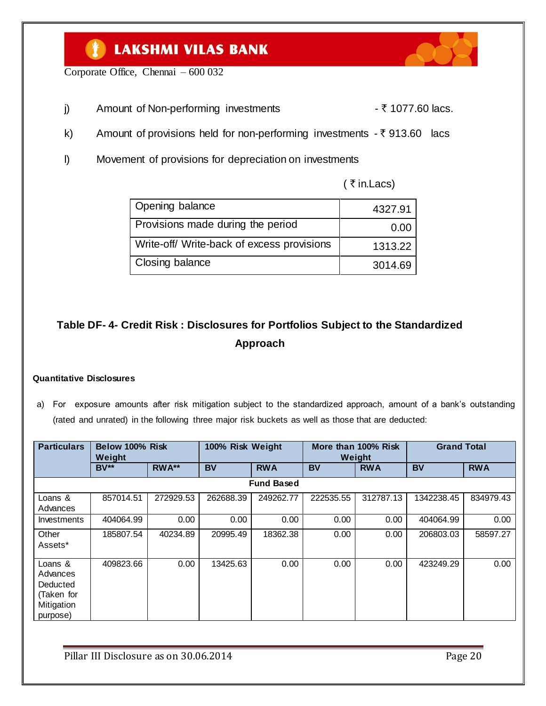Corporate Office, Chennai – 600 032

- j) Amount of Non-performing investments  $\overline{\zeta}$  1077.60 lacs.
- k) Amount of provisions held for non-performing investments  $-\bar{\tau}$  913.60 lacs
- l) Movement of provisions for depreciation on investments

| Opening balance                            | 4327.91 |
|--------------------------------------------|---------|
| Provisions made during the period          | 0.00    |
| Write-off/ Write-back of excess provisions | 1313.22 |
| Closing balance                            | 3014.69 |

# **Table DF- 4- Credit Risk : Disclosures for Portfolios Subject to the Standardized Approach**

#### **Quantitative Disclosures**

a) For exposure amounts after risk mitigation subject to the standardized approach, amount of a bank"s outstanding (rated and unrated) in the following three major risk buckets as well as those that are deducted:

| <b>Particulars</b>                                                      | Below 100% Risk<br>Weight |           |           | 100% Risk Weight<br>More than 100% Risk<br>Weight |           | <b>Grand Total</b> |            |            |
|-------------------------------------------------------------------------|---------------------------|-----------|-----------|---------------------------------------------------|-----------|--------------------|------------|------------|
|                                                                         | $BV**$                    | RWA**     | <b>BV</b> | <b>RWA</b>                                        | <b>BV</b> | <b>RWA</b>         | <b>BV</b>  | <b>RWA</b> |
|                                                                         |                           |           |           | <b>Fund Based</b>                                 |           |                    |            |            |
| Loans &<br>Advances                                                     | 857014.51                 | 272929.53 | 262688.39 | 249262.77                                         | 222535.55 | 312787.13          | 1342238.45 | 834979.43  |
| Investments                                                             | 404064.99                 | 0.00      | 0.00      | 0.00                                              | 0.00      | 0.00               | 404064.99  | 0.00       |
| Other<br>Assets*                                                        | 185807.54                 | 40234.89  | 20995.49  | 18362.38                                          | 0.00      | 0.00               | 206803.03  | 58597.27   |
| Loans &<br>Advances<br>Deducted<br>(Taken for<br>Mitigation<br>purpose) | 409823.66                 | 0.00      | 13425.63  | 0.00                                              | 0.00      | 0.00               | 423249.29  | 0.00       |

Pillar III Disclosure as on 30.06.2014 Page 20





( $\overline{\tau}$  in. Lacs)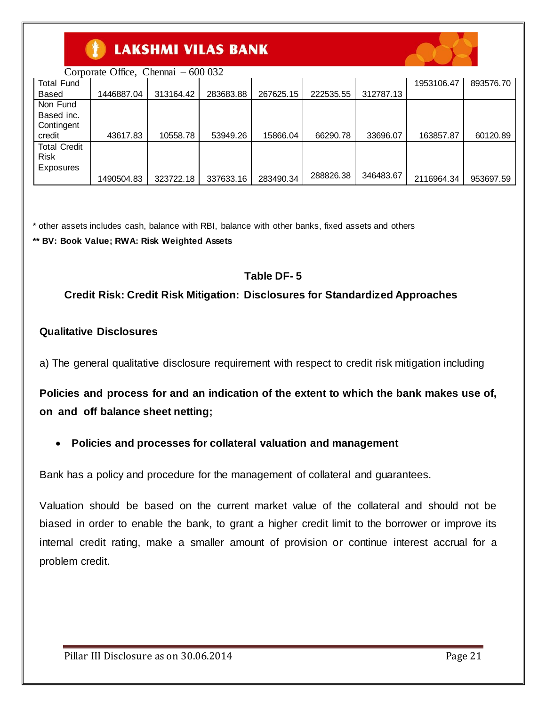

Corporate Office, Chennai – 600 032

| <b>Total Fund</b>   |            |           |           |           |           |           | 1953106.47 | 893576.70 |
|---------------------|------------|-----------|-----------|-----------|-----------|-----------|------------|-----------|
| Based               | 1446887.04 | 313164.42 | 283683.88 | 267625.15 | 222535.55 | 312787.13 |            |           |
| Non Fund            |            |           |           |           |           |           |            |           |
| Based inc.          |            |           |           |           |           |           |            |           |
| Contingent          |            |           |           |           |           |           |            |           |
| credit              | 43617.83   | 10558.78  | 53949.26  | 15866.04  | 66290.78  | 33696.07  | 163857.87  | 60120.89  |
| <b>Total Credit</b> |            |           |           |           |           |           |            |           |
| <b>Risk</b>         |            |           |           |           |           |           |            |           |
| Exposures           |            |           |           |           |           |           |            |           |
|                     | 1490504.83 | 323722.18 | 337633.16 | 283490.34 | 288826.38 | 346483.67 | 2116964.34 | 953697.59 |

\* other assets includes cash, balance with RBI, balance with other banks, fixed assets and others

**\*\* BV: Book Value; RWA: Risk Weighted Assets**

### **Table DF- 5**

### **Credit Risk: Credit Risk Mitigation: Disclosures for Standardized Approaches**

#### **Qualitative Disclosures**

a) The general qualitative disclosure requirement with respect to credit risk mitigation including

**Policies and process for and an indication of the extent to which the bank makes use of, on and off balance sheet netting;**

#### **Policies and processes for collateral valuation and management**

Bank has a policy and procedure for the management of collateral and guarantees.

Valuation should be based on the current market value of the collateral and should not be biased in order to enable the bank, to grant a higher credit limit to the borrower or improve its internal credit rating, make a smaller amount of provision or continue interest accrual for a problem credit.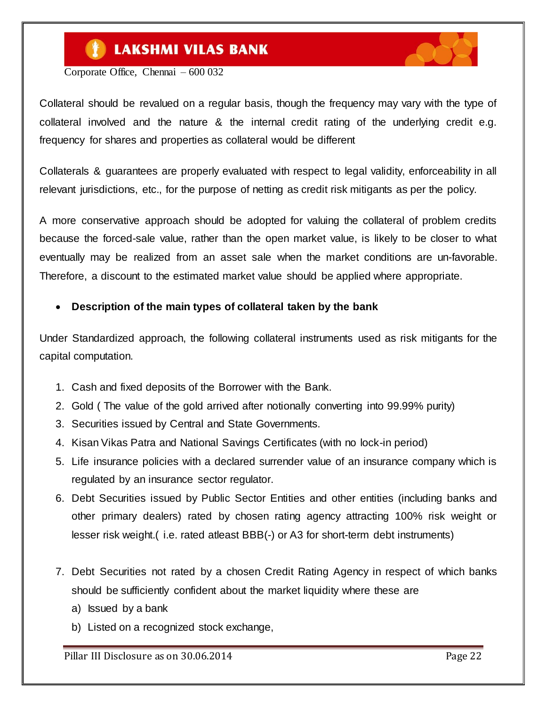

Corporate Office, Chennai – 600 032

Collateral should be revalued on a regular basis, though the frequency may vary with the type of collateral involved and the nature & the internal credit rating of the underlying credit e.g. frequency for shares and properties as collateral would be different

Collaterals & guarantees are properly evaluated with respect to legal validity, enforceability in all relevant jurisdictions, etc., for the purpose of netting as credit risk mitigants as per the policy.

A more conservative approach should be adopted for valuing the collateral of problem credits because the forced-sale value, rather than the open market value, is likely to be closer to what eventually may be realized from an asset sale when the market conditions are un-favorable. Therefore, a discount to the estimated market value should be applied where appropriate.

### **Description of the main types of collateral taken by the bank**

Under Standardized approach, the following collateral instruments used as risk mitigants for the capital computation.

- 1. Cash and fixed deposits of the Borrower with the Bank.
- 2. Gold ( The value of the gold arrived after notionally converting into 99.99% purity)
- 3. Securities issued by Central and State Governments.
- 4. Kisan Vikas Patra and National Savings Certificates (with no lock-in period)
- 5. Life insurance policies with a declared surrender value of an insurance company which is regulated by an insurance sector regulator.
- 6. Debt Securities issued by Public Sector Entities and other entities (including banks and other primary dealers) rated by chosen rating agency attracting 100% risk weight or lesser risk weight.( i.e. rated atleast BBB(-) or A3 for short-term debt instruments)
- 7. Debt Securities not rated by a chosen Credit Rating Agency in respect of which banks should be sufficiently confident about the market liquidity where these are
	- a) Issued by a bank
	- b) Listed on a recognized stock exchange,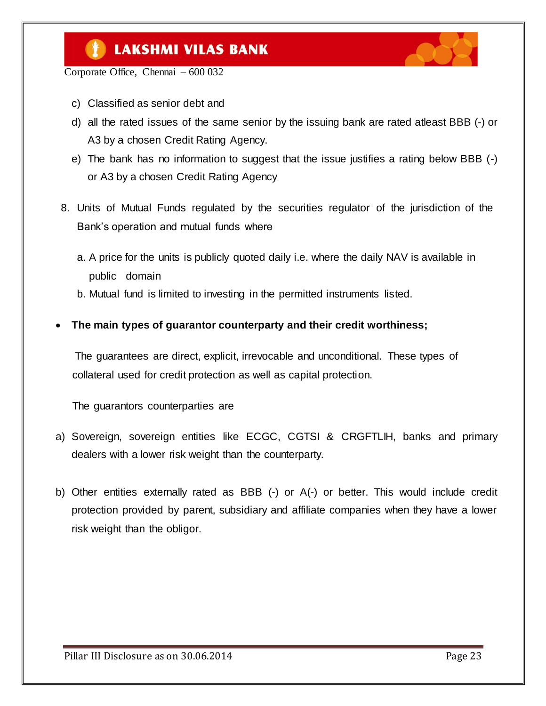

Corporate Office, Chennai – 600 032

- c) Classified as senior debt and
- d) all the rated issues of the same senior by the issuing bank are rated atleast BBB (-) or A3 by a chosen Credit Rating Agency.
- e) The bank has no information to suggest that the issue justifies a rating below BBB (-) or A3 by a chosen Credit Rating Agency
- 8. Units of Mutual Funds regulated by the securities regulator of the jurisdiction of the Bank"s operation and mutual funds where
	- a. A price for the units is publicly quoted daily i.e. where the daily NAV is available in public domain
	- b. Mutual fund is limited to investing in the permitted instruments listed.
- **The main types of guarantor counterparty and their credit worthiness;**

 The guarantees are direct, explicit, irrevocable and unconditional. These types of collateral used for credit protection as well as capital protection.

The guarantors counterparties are

- a) Sovereign, sovereign entities like ECGC, CGTSI & CRGFTLIH, banks and primary dealers with a lower risk weight than the counterparty.
- b) Other entities externally rated as BBB (-) or A(-) or better. This would include credit protection provided by parent, subsidiary and affiliate companies when they have a lower risk weight than the obligor.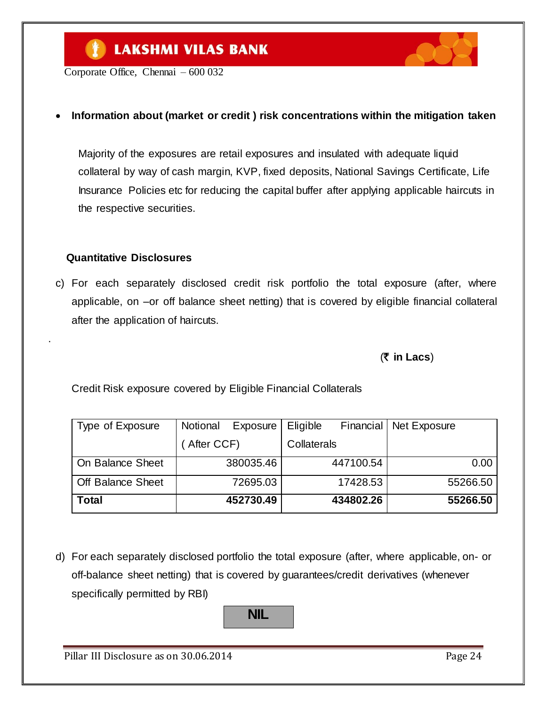Corporate Office, Chennai – 600 032

#### **Information about (market or credit ) risk concentrations within the mitigation taken**

 Majority of the exposures are retail exposures and insulated with adequate liquid collateral by way of cash margin, KVP, fixed deposits, National Savings Certificate, Life Insurance Policies etc for reducing the capital buffer after applying applicable haircuts in the respective securities.

#### **Quantitative Disclosures**

.

c) For each separately disclosed credit risk portfolio the total exposure (after, where applicable, on –or off balance sheet netting) that is covered by eligible financial collateral after the application of haircuts.

(` **in Lacs**)

Credit Risk exposure covered by Eligible Financial Collaterals

| Type of Exposure         | Notional   | Exposure  | Eligible    | <b>Financial</b> | Net Exposure |
|--------------------------|------------|-----------|-------------|------------------|--------------|
|                          | After CCF) |           | Collaterals |                  |              |
| On Balance Sheet         |            | 380035.46 |             | 447100.54        | 0.00         |
| <b>Off Balance Sheet</b> |            | 72695.03  |             | 17428.53         | 55266.50     |
| <b>Total</b>             |            | 452730.49 |             | 434802.26        | 55266.50     |

d) For each separately disclosed portfolio the total exposure (after, where applicable, on- or off-balance sheet netting) that is covered by guarantees/credit derivatives (whenever specifically permitted by RBI)

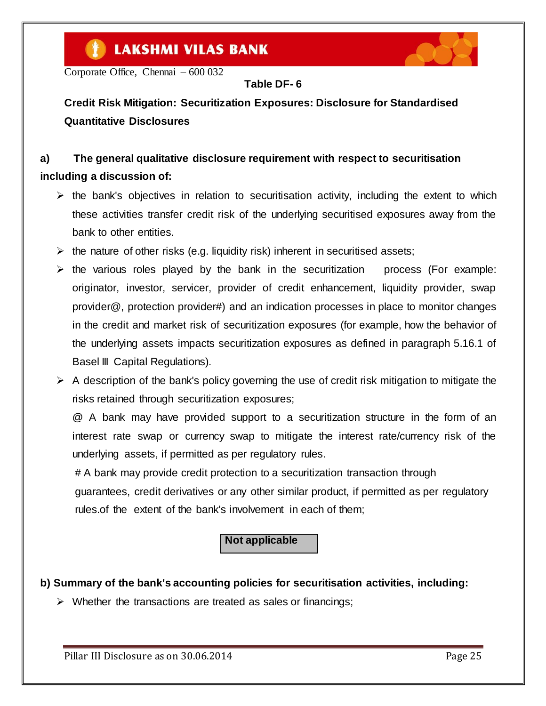Corporate Office, Chennai – 600 032

### **Table DF- 6**

**Credit Risk Mitigation: Securitization Exposures: Disclosure for Standardised Quantitative Disclosures**

## **a) The general qualitative disclosure requirement with respect to securitisation including a discussion of:**

- $\triangleright$  the bank's objectives in relation to securitisation activity, including the extent to which these activities transfer credit risk of the underlying securitised exposures away from the bank to other entities.
- $\triangleright$  the nature of other risks (e.g. liquidity risk) inherent in securitised assets:
- $\triangleright$  the various roles played by the bank in the securitization process (For example: originator, investor, servicer, provider of credit enhancement, liquidity provider, swap provider@, protection provider#) and an indication processes in place to monitor changes in the credit and market risk of securitization exposures (for example, how the behavior of the underlying assets impacts securitization exposures as defined in paragraph 5.16.1 of Basel III Capital Regulations).
- $\triangleright$  A description of the bank's policy governing the use of credit risk mitigation to mitigate the risks retained through securitization exposures;

@ A bank may have provided support to a securitization structure in the form of an interest rate swap or currency swap to mitigate the interest rate/currency risk of the underlying assets, if permitted as per regulatory rules.

# A bank may provide credit protection to a securitization transaction through

 guarantees, credit derivatives or any other similar product, if permitted as per regulatory rules.of the extent of the bank's involvement in each of them;

### **Not applicable**

### **b) Summary of the bank's accounting policies for securitisation activities, including:**

 $\triangleright$  Whether the transactions are treated as sales or financings;

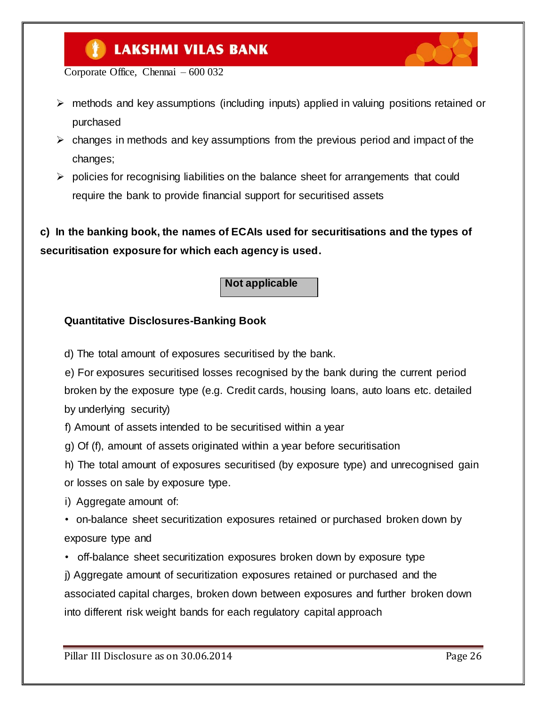

Corporate Office, Chennai – 600 032

- $\triangleright$  methods and key assumptions (including inputs) applied in valuing positions retained or purchased
- $\triangleright$  changes in methods and key assumptions from the previous period and impact of the changes;
- $\triangleright$  policies for recognising liabilities on the balance sheet for arrangements that could require the bank to provide financial support for securitised assets

**c) In the banking book, the names of ECAIs used for securitisations and the types of securitisation exposure for which each agency is used.**

#### **Not applicable**

#### **Quantitative Disclosures-Banking Book**

d) The total amount of exposures securitised by the bank.

e) For exposures securitised losses recognised by the bank during the current period broken by the exposure type (e.g. Credit cards, housing loans, auto loans etc. detailed by underlying security)

f) Amount of assets intended to be securitised within a year

g) Of (f), amount of assets originated within a year before securitisation

h) The total amount of exposures securitised (by exposure type) and unrecognised gain or losses on sale by exposure type.

i) Aggregate amount of:

• on-balance sheet securitization exposures retained or purchased broken down by exposure type and

• off-balance sheet securitization exposures broken down by exposure type

j) Aggregate amount of securitization exposures retained or purchased and the associated capital charges, broken down between exposures and further broken down into different risk weight bands for each regulatory capital approach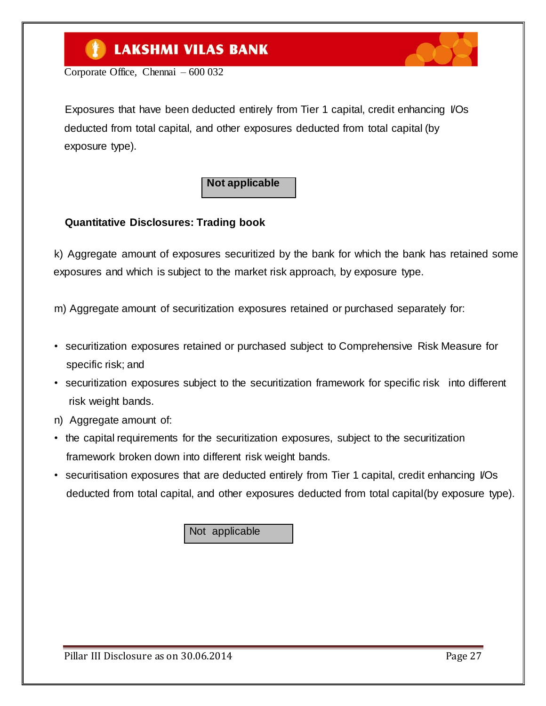Corporate Office, Chennai – 600 032

Exposures that have been deducted entirely from Tier 1 capital, credit enhancing I/Os deducted from total capital, and other exposures deducted from total capital (by exposure type).

### **Not applicable**

### **Quantitative Disclosures: Trading book**

k) Aggregate amount of exposures securitized by the bank for which the bank has retained some exposures and which is subject to the market risk approach, by exposure type.

m) Aggregate amount of securitization exposures retained or purchased separately for:

- securitization exposures retained or purchased subject to Comprehensive Risk Measure for specific risk; and
- securitization exposures subject to the securitization framework for specific risk into different risk weight bands.
- n) Aggregate amount of:
- the capital requirements for the securitization exposures, subject to the securitization framework broken down into different risk weight bands.
- securitisation exposures that are deducted entirely from Tier 1 capital, credit enhancing VOs deducted from total capital, and other exposures deducted from total capital(by exposure type).

Not applicable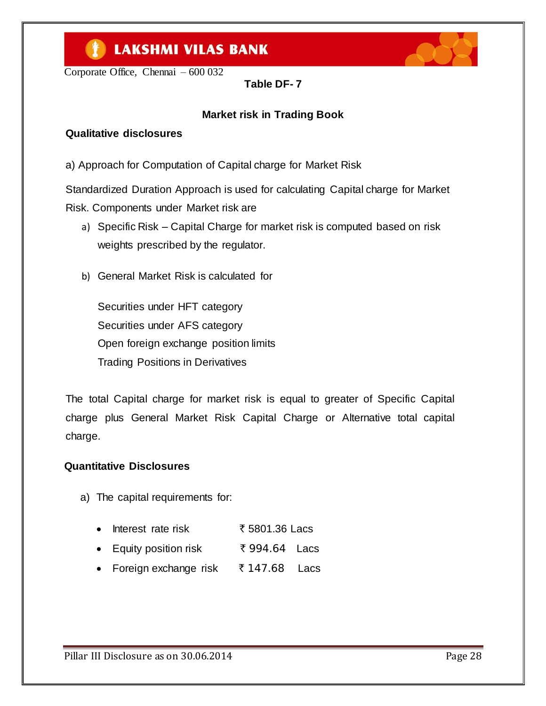Corporate Office, Chennai – 600 032

**Table DF- 7**

### **Market risk in Trading Book**

### **Qualitative disclosures**

a) Approach for Computation of Capital charge for Market Risk

Standardized Duration Approach is used for calculating Capital charge for Market Risk. Components under Market risk are

- a) Specific Risk Capital Charge for market risk is computed based on risk weights prescribed by the regulator.
- b) General Market Risk is calculated for

Securities under HFT category Securities under AFS category Open foreign exchange position limits Trading Positions in Derivatives

The total Capital charge for market risk is equal to greater of Specific Capital charge plus General Market Risk Capital Charge or Alternative total capital charge.

#### **Quantitative Disclosures**

- a) The capital requirements for:
	- Interest rate risk  $\overline{5801.36}$  Lacs
	- Equity position risk  $\overline{5}994.64$  Lacs
	- Foreign exchange risk  $\bar{\tau}$  147.68 Lacs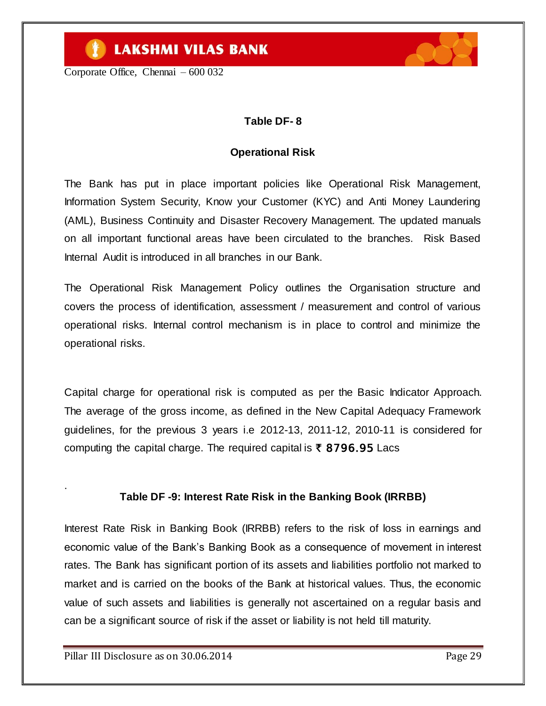Corporate Office, Chennai – 600 032



### **Table DF- 8**

#### **Operational Risk**

The Bank has put in place important policies like Operational Risk Management, Information System Security, Know your Customer (KYC) and Anti Money Laundering (AML), Business Continuity and Disaster Recovery Management. The updated manuals on all important functional areas have been circulated to the branches. Risk Based Internal Audit is introduced in all branches in our Bank.

The Operational Risk Management Policy outlines the Organisation structure and covers the process of identification, assessment / measurement and control of various operational risks. Internal control mechanism is in place to control and minimize the operational risks.

Capital charge for operational risk is computed as per the Basic Indicator Approach. The average of the gross income, as defined in the New Capital Adequacy Framework guidelines, for the previous 3 years i.e 2012-13, 2011-12, 2010-11 is considered for computing the capital charge. The required capital is  $\bar{\tau}$  8796.95 Lacs

#### **Table DF -9: Interest Rate Risk in the Banking Book (IRRBB)**

Interest Rate Risk in Banking Book (IRRBB) refers to the risk of loss in earnings and economic value of the Bank"s Banking Book as a consequence of movement in interest rates. The Bank has significant portion of its assets and liabilities portfolio not marked to market and is carried on the books of the Bank at historical values. Thus, the economic value of such assets and liabilities is generally not ascertained on a regular basis and can be a significant source of risk if the asset or liability is not held till maturity.

.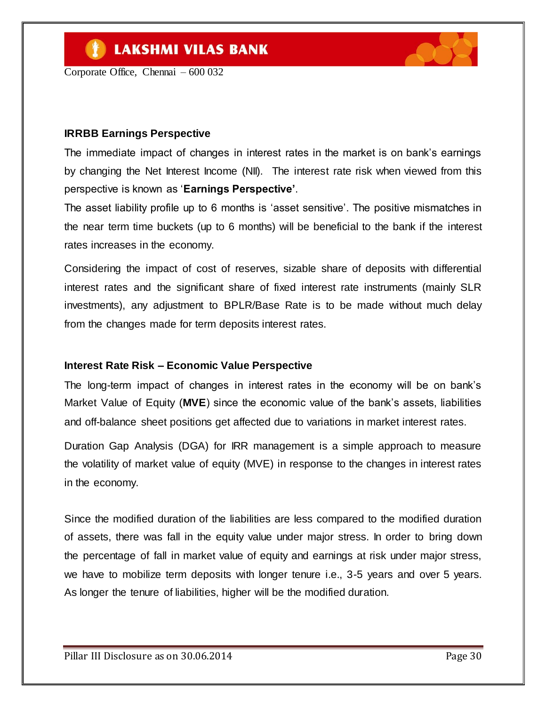Corporate Office, Chennai – 600 032

#### **IRRBB Earnings Perspective**

The immediate impact of changes in interest rates in the market is on bank"s earnings by changing the Net Interest Income (NII). The interest rate risk when viewed from this perspective is known as "**Earnings Perspective'**.

The asset liability profile up to 6 months is "asset sensitive". The positive mismatches in the near term time buckets (up to 6 months) will be beneficial to the bank if the interest rates increases in the economy.

Considering the impact of cost of reserves, sizable share of deposits with differential interest rates and the significant share of fixed interest rate instruments (mainly SLR investments), any adjustment to BPLR/Base Rate is to be made without much delay from the changes made for term deposits interest rates.

#### **Interest Rate Risk – Economic Value Perspective**

The long-term impact of changes in interest rates in the economy will be on bank"s Market Value of Equity (**MVE**) since the economic value of the bank"s assets, liabilities and off-balance sheet positions get affected due to variations in market interest rates.

Duration Gap Analysis (DGA) for IRR management is a simple approach to measure the volatility of market value of equity (MVE) in response to the changes in interest rates in the economy.

Since the modified duration of the liabilities are less compared to the modified duration of assets, there was fall in the equity value under major stress. In order to bring down the percentage of fall in market value of equity and earnings at risk under major stress, we have to mobilize term deposits with longer tenure i.e., 3-5 years and over 5 years. As longer the tenure of liabilities, higher will be the modified duration.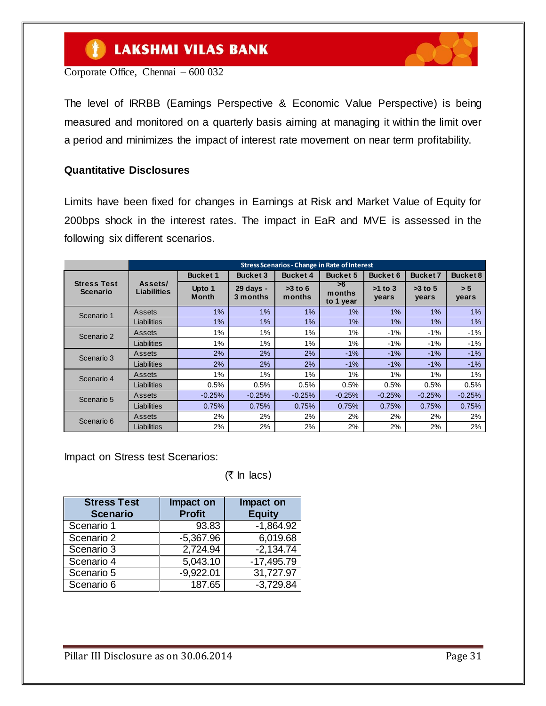#### $\bullet$ **LAKSHMI VILAS BANK**



Corporate Office, Chennai – 600 032

The level of IRRBB (Earnings Perspective & Economic Value Perspective) is being measured and monitored on a quarterly basis aiming at managing it within the limit over a period and minimizes the impact of interest rate movement on near term profitability.

#### **Quantitative Disclosures**

Limits have been fixed for changes in Earnings at Risk and Market Value of Equity for 200bps shock in the interest rates. The impact in EaR and MVE is assessed in the following six different scenarios.

|                                | <b>Stress Scenarios - Change in Rate of Interest</b> |                        |                       |                     |                           |                    |                    |                 |
|--------------------------------|------------------------------------------------------|------------------------|-----------------------|---------------------|---------------------------|--------------------|--------------------|-----------------|
|                                |                                                      | <b>Bucket 1</b>        | <b>Bucket 3</b>       | <b>Bucket 4</b>     | <b>Bucket 5</b>           | Bucket 6           | <b>Bucket 7</b>    | <b>Bucket 8</b> |
| <b>Stress Test</b><br>Scenario | Assets/<br>Liabilities                               | Upto 1<br><b>Month</b> | 29 days -<br>3 months | $>3$ to 6<br>months | >6<br>months<br>to 1 year | $>1$ to 3<br>years | $>3$ to 5<br>years | > 5<br>years    |
| Scenario 1                     | Assets                                               | $1\%$                  | 1%                    | 1%                  | 1%                        | $1\%$              | $1\%$              | 1%              |
|                                | Liabilities                                          | 1%                     | 1%                    | 1%                  | 1%                        | 1%                 | 1%                 | 1%              |
| Scenario 2                     | Assets                                               | 1%                     | 1%                    | 1%                  | 1%                        | -1%                | $-1%$              | $-1%$           |
|                                | Liabilities                                          | 1%                     | 1%                    | 1%                  | 1%                        | $-1%$              | $-1%$              | $-1%$           |
| Scenario 3                     | Assets                                               | 2%                     | 2%                    | 2%                  | $-1%$                     | $-1%$              | $-1%$              | $-1%$           |
|                                | Liabilities                                          | 2%                     | 2%                    | 2%                  | $-1%$                     | $-1%$              | $-1%$              | $-1%$           |
| Scenario 4                     | Assets                                               | 1%                     | 1%                    | 1%                  | 1%                        | 1%                 | 1%                 | 1%              |
|                                | Liabilities                                          | 0.5%                   | 0.5%                  | 0.5%                | 0.5%                      | 0.5%               | 0.5%               | 0.5%            |
| Scenario 5                     | Assets                                               | $-0.25%$               | $-0.25%$              | $-0.25%$            | $-0.25%$                  | $-0.25%$           | $-0.25%$           | $-0.25%$        |
|                                | Liabilities                                          | 0.75%                  | 0.75%                 | 0.75%               | 0.75%                     | 0.75%              | 0.75%              | 0.75%           |
| Scenario 6                     | Assets                                               | 2%                     | 2%                    | 2%                  | 2%                        | 2%                 | 2%                 | 2%              |
|                                | Liabilities                                          | 2%                     | 2%                    | 2%                  | 2%                        | 2%                 | 2%                 | 2%              |

Impact on Stress test Scenarios:

 $($ ₹ In lacs)

| <b>Stress Test</b><br><b>Scenario</b> | Impact on<br><b>Profit</b> | Impact on<br><b>Equity</b> |
|---------------------------------------|----------------------------|----------------------------|
| Scenario 1                            | 93.83                      | $-1,864.92$                |
| Scenario 2                            | $-5,367.96$                | 6,019.68                   |
| Scenario 3                            | 2,724.94                   | $-2,134.74$                |
| Scenario 4                            | 5,043.10                   | $-17,495.79$               |
| Scenario 5                            | $-9,922.01$                | 31,727.97                  |
| Scenario 6                            | 187.65                     | $-3,729.84$                |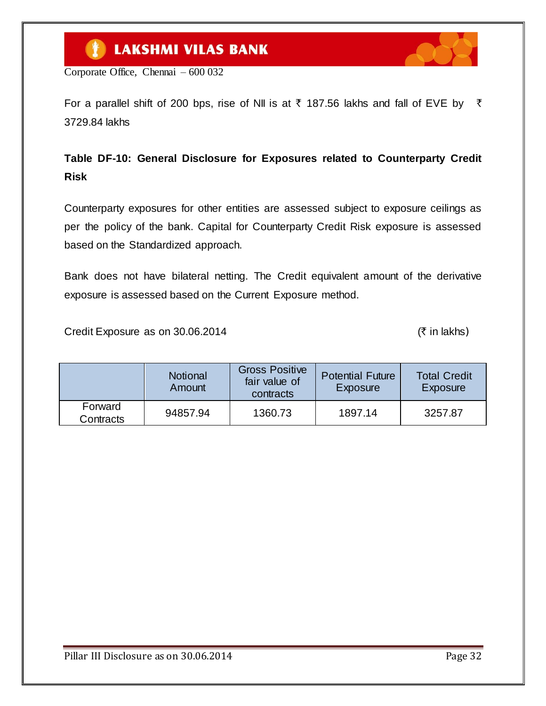Corporate Office, Chennai – 600 032

For a parallel shift of 200 bps, rise of NII is at  $\bar{\tau}$  187.56 lakhs and fall of EVE by  $\bar{\tau}$ 3729.84 lakhs

### **Table DF-10: General Disclosure for Exposures related to Counterparty Credit Risk**

Counterparty exposures for other entities are assessed subject to exposure ceilings as per the policy of the bank. Capital for Counterparty Credit Risk exposure is assessed based on the Standardized approach.

Bank does not have bilateral netting. The Credit equivalent amount of the derivative exposure is assessed based on the Current Exposure method.

Credit Exposure as on  $30.06.2014$  ( $\bar{\tau}$  in lakhs)

|                      | <b>Notional</b><br>Amount | <b>Gross Positive</b><br>fair value of<br>contracts | <b>Potential Future</b><br>Exposure | <b>Total Credit</b><br>Exposure |
|----------------------|---------------------------|-----------------------------------------------------|-------------------------------------|---------------------------------|
| Forward<br>Contracts | 94857.94                  | 1360.73                                             | 1897.14                             | 3257.87                         |

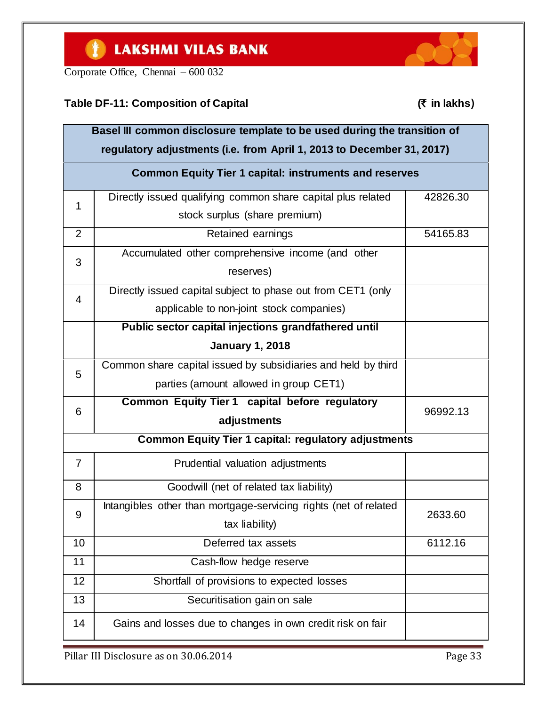Corporate Office, Chennai – 600 032

### **Table DF-11: Composition of Capital (**` **in lakhs**)



|                | Basel III common disclosure template to be used during the transition of<br>regulatory adjustments (i.e. from April 1, 2013 to December 31, 2017) |          |
|----------------|---------------------------------------------------------------------------------------------------------------------------------------------------|----------|
|                | <b>Common Equity Tier 1 capital: instruments and reserves</b>                                                                                     |          |
| 1              | Directly issued qualifying common share capital plus related                                                                                      | 42826.30 |
|                | stock surplus (share premium)                                                                                                                     |          |
| $\overline{2}$ | Retained earnings                                                                                                                                 | 54165.83 |
|                | Accumulated other comprehensive income (and other                                                                                                 |          |
| 3              | reserves)                                                                                                                                         |          |
| $\overline{4}$ | Directly issued capital subject to phase out from CET1 (only                                                                                      |          |
|                | applicable to non-joint stock companies)                                                                                                          |          |
|                | Public sector capital injections grandfathered until                                                                                              |          |
|                | <b>January 1, 2018</b>                                                                                                                            |          |
|                | Common share capital issued by subsidiaries and held by third                                                                                     |          |
| 5              | parties (amount allowed in group CET1)                                                                                                            |          |
| 6              | Common Equity Tier 1 capital before regulatory                                                                                                    | 96992.13 |
|                | adjustments                                                                                                                                       |          |
|                | <b>Common Equity Tier 1 capital: regulatory adjustments</b>                                                                                       |          |
| $\overline{7}$ | Prudential valuation adjustments                                                                                                                  |          |
| 8              | Goodwill (net of related tax liability)                                                                                                           |          |
| 9              | Intangibles other than mortgage-servicing rights (net of related                                                                                  | 2633.60  |
|                | tax liability)                                                                                                                                    |          |
| 10             | Deferred tax assets                                                                                                                               | 6112.16  |
| 11             | Cash-flow hedge reserve                                                                                                                           |          |
| 12             | Shortfall of provisions to expected losses                                                                                                        |          |
| 13             | Securitisation gain on sale                                                                                                                       |          |
| 14             | Gains and losses due to changes in own credit risk on fair                                                                                        |          |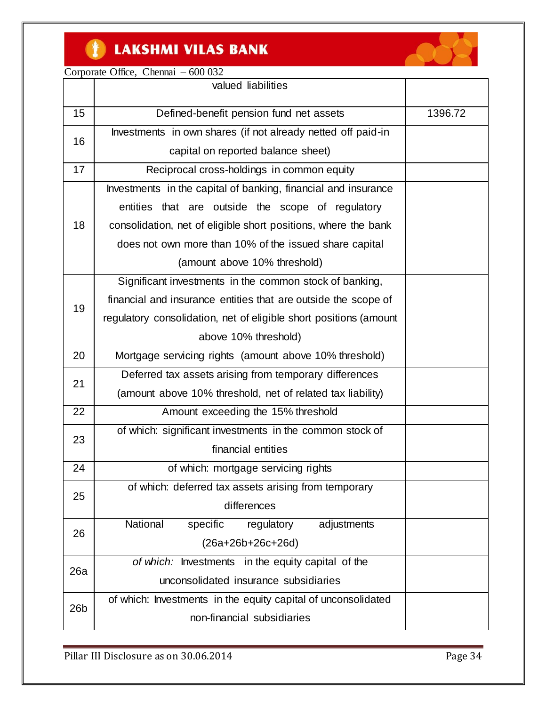#### $\bullet$ **LAKSHMI VILAS BANK**



Corporate Office, Chennai – 600 032

|                 | valued liabilities                                                |         |
|-----------------|-------------------------------------------------------------------|---------|
| 15              | Defined-benefit pension fund net assets                           | 1396.72 |
|                 | Investments in own shares (if not already netted off paid-in      |         |
| 16              | capital on reported balance sheet)                                |         |
| 17              | Reciprocal cross-holdings in common equity                        |         |
|                 | Investments in the capital of banking, financial and insurance    |         |
|                 | entities that are outside the scope of regulatory                 |         |
| 18              | consolidation, net of eligible short positions, where the bank    |         |
|                 | does not own more than 10% of the issued share capital            |         |
|                 | (amount above 10% threshold)                                      |         |
|                 | Significant investments in the common stock of banking,           |         |
| 19              | financial and insurance entities that are outside the scope of    |         |
|                 | regulatory consolidation, net of eligible short positions (amount |         |
|                 | above 10% threshold)                                              |         |
| 20              | Mortgage servicing rights (amount above 10% threshold)            |         |
| 21              | Deferred tax assets arising from temporary differences            |         |
|                 | (amount above 10% threshold, net of related tax liability)        |         |
| 22              | Amount exceeding the 15% threshold                                |         |
| 23              | of which: significant investments in the common stock of          |         |
|                 | financial entities                                                |         |
| 24              | of which: mortgage servicing rights                               |         |
| 25              | of which: deferred tax assets arising from temporary              |         |
|                 | differences                                                       |         |
| 26              | National<br>specific<br>adjustments<br>regulatory                 |         |
|                 | $(26a+26b+26c+26d)$                                               |         |
| 26a             | of which: Investments in the equity capital of the                |         |
|                 | unconsolidated insurance subsidiaries                             |         |
| 26 <sub>b</sub> | of which: Investments in the equity capital of unconsolidated     |         |
|                 | non-financial subsidiaries                                        |         |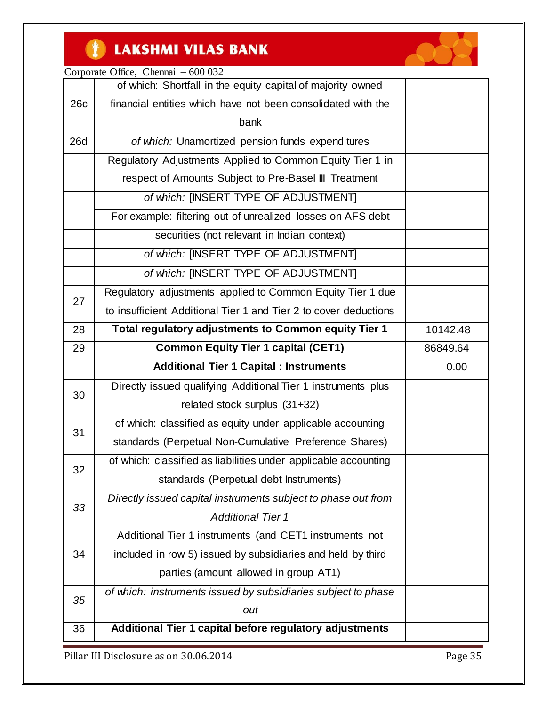

|     | Corporate Office, Chennai $-600032$                              |          |
|-----|------------------------------------------------------------------|----------|
|     | of which: Shortfall in the equity capital of majority owned      |          |
| 26c | financial entities which have not been consolidated with the     |          |
|     | bank                                                             |          |
| 26d | of which: Unamortized pension funds expenditures                 |          |
|     | Regulatory Adjustments Applied to Common Equity Tier 1 in        |          |
|     | respect of Amounts Subject to Pre-Basel III Treatment            |          |
|     | of which: [INSERT TYPE OF ADJUSTMENT]                            |          |
|     | For example: filtering out of unrealized losses on AFS debt      |          |
|     | securities (not relevant in Indian context)                      |          |
|     | of which: [INSERT TYPE OF ADJUSTMENT]                            |          |
|     | of which: [INSERT TYPE OF ADJUSTMENT]                            |          |
| 27  | Regulatory adjustments applied to Common Equity Tier 1 due       |          |
|     | to insufficient Additional Tier 1 and Tier 2 to cover deductions |          |
| 28  | Total regulatory adjustments to Common equity Tier 1             | 10142.48 |
| 29  | <b>Common Equity Tier 1 capital (CET1)</b>                       | 86849.64 |
|     | <b>Additional Tier 1 Capital : Instruments</b>                   | 0.00     |
| 30  | Directly issued qualifying Additional Tier 1 instruments plus    |          |
|     | related stock surplus (31+32)                                    |          |
| 31  | of which: classified as equity under applicable accounting       |          |
|     | standards (Perpetual Non-Cumulative Preference Shares)           |          |
| 32  | of which: classified as liabilities under applicable accounting  |          |
|     | standards (Perpetual debt Instruments)                           |          |
|     | Directly issued capital instruments subject to phase out from    |          |
|     |                                                                  |          |
| 33  | <b>Additional Tier 1</b>                                         |          |
|     | Additional Tier 1 instruments (and CET1 instruments not          |          |
| 34  | included in row 5) issued by subsidiaries and held by third      |          |
|     | parties (amount allowed in group AT1)                            |          |
|     | of which: instruments issued by subsidiaries subject to phase    |          |
| 35  | out                                                              |          |
| 36  | Additional Tier 1 capital before regulatory adjustments          |          |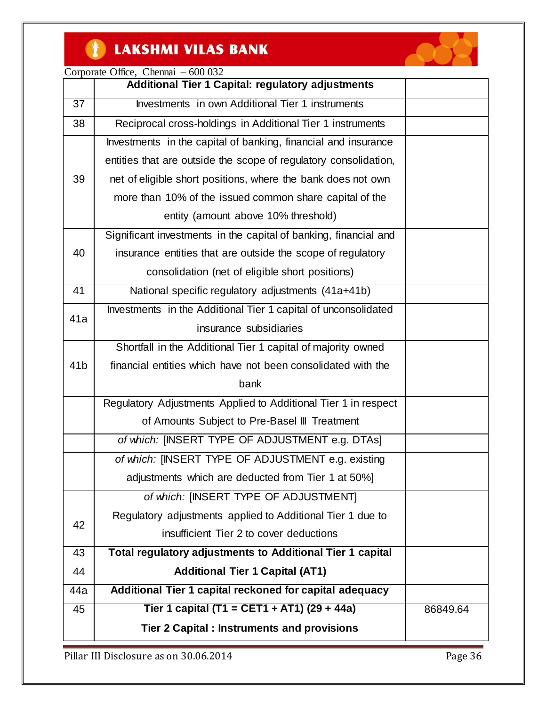#### CH<sub>1</sub> **LAKSHMI VILAS BANK**



Corporate Office, Chennai – 600 032

|                 | Corporate Office, Chemian<br><u>UUU UJA</u><br><b>Additional Tier 1 Capital: regulatory adjustments</b> |          |
|-----------------|---------------------------------------------------------------------------------------------------------|----------|
| 37              | Investments in own Additional Tier 1 instruments                                                        |          |
| 38              | Reciprocal cross-holdings in Additional Tier 1 instruments                                              |          |
|                 | Investments in the capital of banking, financial and insurance                                          |          |
|                 | entities that are outside the scope of regulatory consolidation,                                        |          |
| 39              | net of eligible short positions, where the bank does not own                                            |          |
|                 | more than 10% of the issued common share capital of the                                                 |          |
|                 | entity (amount above 10% threshold)                                                                     |          |
|                 | Significant investments in the capital of banking, financial and                                        |          |
| 40              | insurance entities that are outside the scope of regulatory                                             |          |
|                 | consolidation (net of eligible short positions)                                                         |          |
| 41              | National specific regulatory adjustments (41a+41b)                                                      |          |
| 41a             | Investments in the Additional Tier 1 capital of unconsolidated                                          |          |
|                 | insurance subsidiaries                                                                                  |          |
|                 | Shortfall in the Additional Tier 1 capital of majority owned                                            |          |
| 41 <sub>b</sub> | financial entities which have not been consolidated with the                                            |          |
|                 | bank                                                                                                    |          |
|                 | Regulatory Adjustments Applied to Additional Tier 1 in respect                                          |          |
|                 | of Amounts Subject to Pre-Basel III Treatment                                                           |          |
|                 | of which: [INSERT TYPE OF ADJUSTMENT e.g. DTAs]                                                         |          |
|                 | of which: [INSERT TYPE OF ADJUSTMENT e.g. existing                                                      |          |
|                 | adjustments which are deducted from Tier 1 at 50%]                                                      |          |
|                 | of which: [INSERT TYPE OF ADJUSTMENT]                                                                   |          |
| 42              | Regulatory adjustments applied to Additional Tier 1 due to                                              |          |
|                 | insufficient Tier 2 to cover deductions                                                                 |          |
| 43              | Total regulatory adjustments to Additional Tier 1 capital                                               |          |
| 44              | <b>Additional Tier 1 Capital (AT1)</b>                                                                  |          |
| 44a             | Additional Tier 1 capital reckoned for capital adequacy                                                 |          |
| 45              | Tier 1 capital (T1 = CET1 + AT1) (29 + 44a)                                                             | 86849.64 |
|                 | Tier 2 Capital: Instruments and provisions                                                              |          |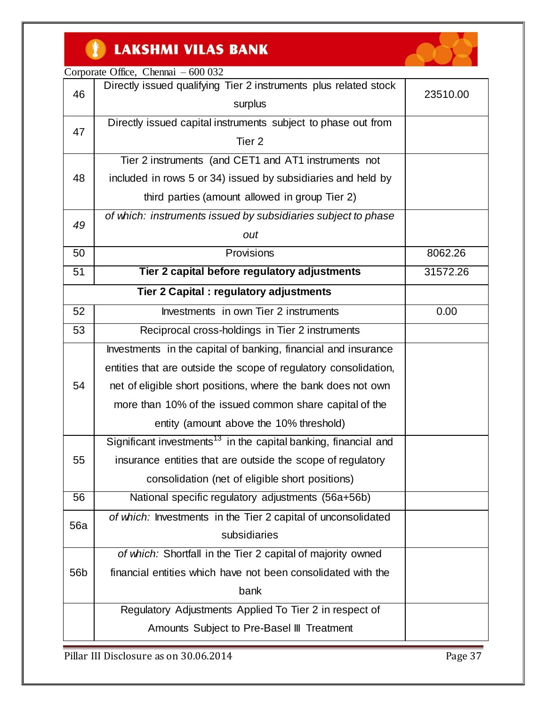#### $\bullet$ **LAKSHMI VILAS BANK**



# Corporate Office, Chennai – 600 032

| 46              | Directly issued qualifying Tier 2 instruments plus related stock            | 23510.00 |
|-----------------|-----------------------------------------------------------------------------|----------|
|                 | surplus                                                                     |          |
| 47              | Directly issued capital instruments subject to phase out from               |          |
|                 | Tier <sub>2</sub>                                                           |          |
|                 | Tier 2 instruments (and CET1 and AT1 instruments not                        |          |
| 48              | included in rows 5 or 34) issued by subsidiaries and held by                |          |
|                 | third parties (amount allowed in group Tier 2)                              |          |
| 49              | of which: instruments issued by subsidiaries subject to phase               |          |
|                 | out                                                                         |          |
| 50              | Provisions                                                                  | 8062.26  |
| 51              | Tier 2 capital before regulatory adjustments                                | 31572.26 |
|                 | Tier 2 Capital : regulatory adjustments                                     |          |
| 52              | Investments in own Tier 2 instruments                                       | 0.00     |
| 53              | Reciprocal cross-holdings in Tier 2 instruments                             |          |
|                 | Investments in the capital of banking, financial and insurance              |          |
|                 | entities that are outside the scope of regulatory consolidation,            |          |
| 54              | net of eligible short positions, where the bank does not own                |          |
|                 | more than 10% of the issued common share capital of the                     |          |
|                 | entity (amount above the 10% threshold)                                     |          |
|                 | Significant investments <sup>13</sup> in the capital banking, financial and |          |
| 55              | insurance entities that are outside the scope of regulatory                 |          |
|                 | consolidation (net of eligible short positions)                             |          |
| 56              | National specific regulatory adjustments (56a+56b)                          |          |
| 56a             | of which: Investments in the Tier 2 capital of unconsolidated               |          |
|                 | subsidiaries                                                                |          |
|                 | of which: Shortfall in the Tier 2 capital of majority owned                 |          |
| 56 <sub>b</sub> | financial entities which have not been consolidated with the                |          |
|                 | bank                                                                        |          |
|                 | Regulatory Adjustments Applied To Tier 2 in respect of                      |          |
|                 | Amounts Subject to Pre-Basel III Treatment                                  |          |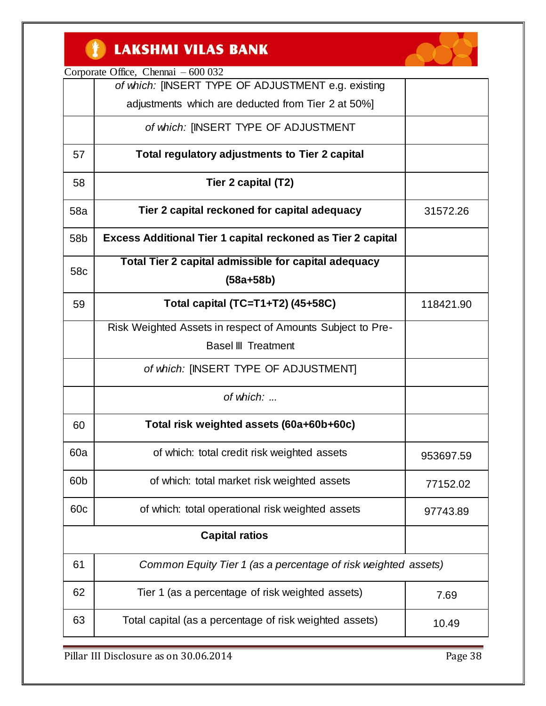#### CH<sub>1</sub> **LAKSHMI VILAS BANK**



Corporate Office, Chennai – 600 032

|                 | of which: [INSERT TYPE OF ADJUSTMENT e.g. existing                 |           |
|-----------------|--------------------------------------------------------------------|-----------|
|                 | adjustments which are deducted from Tier 2 at 50%]                 |           |
|                 | of which: [INSERT TYPE OF ADJUSTMENT                               |           |
| 57              | Total regulatory adjustments to Tier 2 capital                     |           |
| 58              | Tier 2 capital (T2)                                                |           |
| 58a             | Tier 2 capital reckoned for capital adequacy                       | 31572.26  |
| 58b             | <b>Excess Additional Tier 1 capital reckoned as Tier 2 capital</b> |           |
| 58c             | Total Tier 2 capital admissible for capital adequacy               |           |
|                 | $(58a + 58b)$                                                      |           |
| 59              | Total capital (TC=T1+T2) (45+58C)                                  | 118421.90 |
|                 | Risk Weighted Assets in respect of Amounts Subject to Pre-         |           |
|                 | <b>Basel III Treatment</b>                                         |           |
|                 | of which: [INSERT TYPE OF ADJUSTMENT]                              |           |
|                 | of which:                                                          |           |
| 60              | Total risk weighted assets (60a+60b+60c)                           |           |
| 60a             | of which: total credit risk weighted assets                        | 953697.59 |
| 60 <sub>b</sub> | of which: total market risk weighted assets                        | 77152.02  |
| 60 <sub>c</sub> | of which: total operational risk weighted assets                   | 97743.89  |
|                 | <b>Capital ratios</b>                                              |           |
| 61              | Common Equity Tier 1 (as a percentage of risk weighted assets)     |           |
| 62              | Tier 1 (as a percentage of risk weighted assets)                   | 7.69      |
| 63              | Total capital (as a percentage of risk weighted assets)            | 10.49     |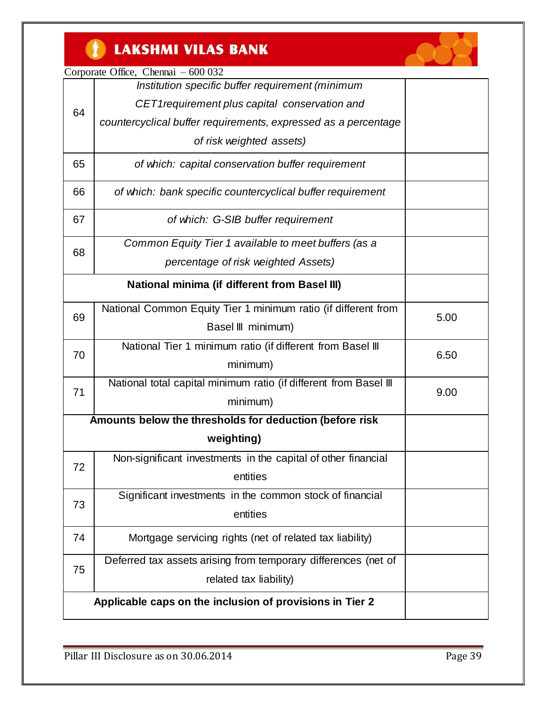

|  | Corporate Office, Chennai – 600 032 |
|--|-------------------------------------|
|--|-------------------------------------|

|    | Institution specific buffer requirement (minimum                  |      |
|----|-------------------------------------------------------------------|------|
| 64 | CET1 requirement plus capital conservation and                    |      |
|    | countercyclical buffer requirements, expressed as a percentage    |      |
|    | of risk weighted assets)                                          |      |
| 65 | of which: capital conservation buffer requirement                 |      |
| 66 | of which: bank specific countercyclical buffer requirement        |      |
| 67 | of which: G-SIB buffer requirement                                |      |
| 68 | Common Equity Tier 1 available to meet buffers (as a              |      |
|    | percentage of risk weighted Assets)                               |      |
|    | <b>National minima (if different from Basel III)</b>              |      |
| 69 | National Common Equity Tier 1 minimum ratio (if different from    | 5.00 |
|    | Basel III minimum)                                                |      |
| 70 | National Tier 1 minimum ratio (if different from Basel III        | 6.50 |
|    | minimum)                                                          |      |
| 71 | National total capital minimum ratio (if different from Basel III | 9.00 |
|    | minimum)                                                          |      |
|    | Amounts below the thresholds for deduction (before risk           |      |
|    | weighting)                                                        |      |
| 72 | Non-significant investments in the capital of other financial     |      |
|    | entities                                                          |      |
| 73 | Significant investments in the common stock of financial          |      |
|    | entities                                                          |      |
| 74 | Mortgage servicing rights (net of related tax liability)          |      |
| 75 | Deferred tax assets arising from temporary differences (net of    |      |
|    | related tax liability)                                            |      |
|    | Applicable caps on the inclusion of provisions in Tier 2          |      |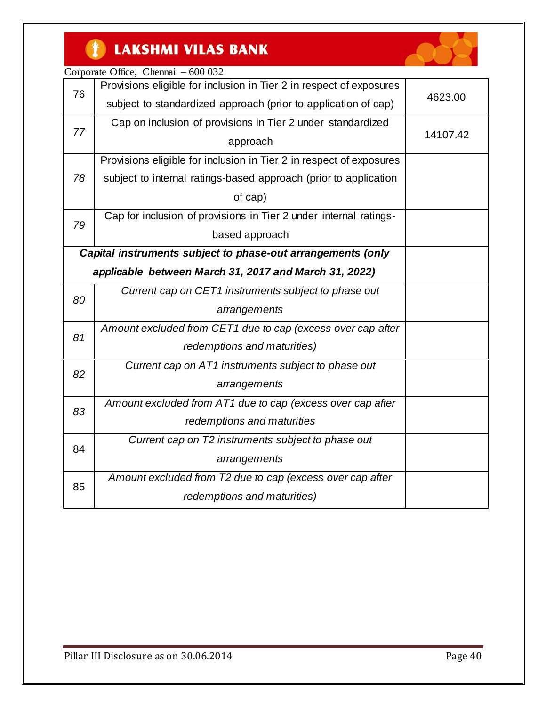

|    | Corporate Office, Chennai - 600 032                                 |          |
|----|---------------------------------------------------------------------|----------|
| 76 | Provisions eligible for inclusion in Tier 2 in respect of exposures |          |
|    | subject to standardized approach (prior to application of cap)      | 4623.00  |
| 77 | Cap on inclusion of provisions in Tier 2 under standardized         |          |
|    | approach                                                            | 14107.42 |
|    | Provisions eligible for inclusion in Tier 2 in respect of exposures |          |
| 78 | subject to internal ratings-based approach (prior to application    |          |
|    | of cap)                                                             |          |
| 79 | Cap for inclusion of provisions in Tier 2 under internal ratings-   |          |
|    | based approach                                                      |          |
|    | Capital instruments subject to phase-out arrangements (only         |          |
|    | applicable between March 31, 2017 and March 31, 2022)               |          |
| 80 | Current cap on CET1 instruments subject to phase out                |          |
|    | arrangements                                                        |          |
| 81 | Amount excluded from CET1 due to cap (excess over cap after         |          |
|    | redemptions and maturities)                                         |          |
| 82 | Current cap on AT1 instruments subject to phase out                 |          |
|    | arrangements                                                        |          |
| 83 | Amount excluded from AT1 due to cap (excess over cap after          |          |
|    | redemptions and maturities                                          |          |
| 84 | Current cap on T2 instruments subject to phase out                  |          |
|    | arrangements                                                        |          |
| 85 | Amount excluded from T2 due to cap (excess over cap after           |          |
|    | redemptions and maturities)                                         |          |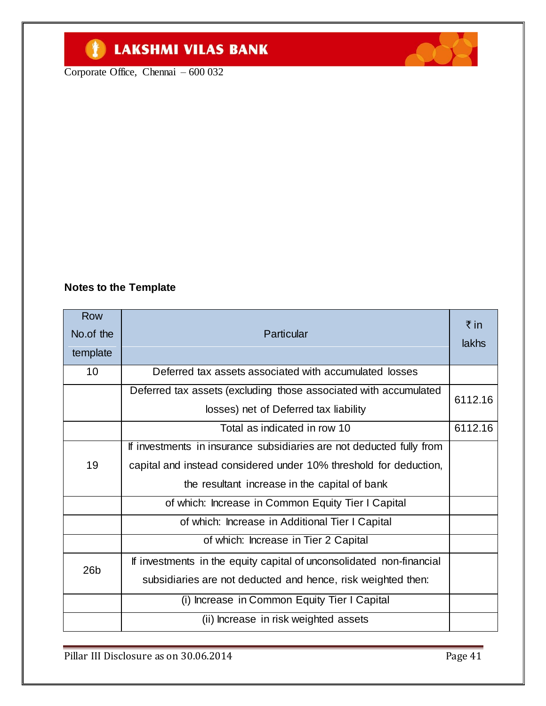# **TELESTIMI VILAS BANK**

Corporate Office, Chennai – 600 032



| <b>Row</b><br>No.of the<br>template | Particular                                                           | ₹ in<br>lakhs |  |  |
|-------------------------------------|----------------------------------------------------------------------|---------------|--|--|
| 10                                  | Deferred tax assets associated with accumulated losses               |               |  |  |
|                                     | Deferred tax assets (excluding those associated with accumulated     |               |  |  |
|                                     | losses) net of Deferred tax liability                                | 6112.16       |  |  |
|                                     | Total as indicated in row 10                                         | 6112.16       |  |  |
|                                     | If investments in insurance subsidiaries are not deducted fully from |               |  |  |
| 19                                  | capital and instead considered under 10% threshold for deduction,    |               |  |  |
|                                     | the resultant increase in the capital of bank                        |               |  |  |
|                                     | of which: Increase in Common Equity Tier I Capital                   |               |  |  |
|                                     | of which: Increase in Additional Tier I Capital                      |               |  |  |
|                                     | of which: Increase in Tier 2 Capital                                 |               |  |  |
| 26 <sub>b</sub>                     | If investments in the equity capital of unconsolidated non-financial |               |  |  |
|                                     | subsidiaries are not deducted and hence, risk weighted then:         |               |  |  |
|                                     | (i) Increase in Common Equity Tier I Capital                         |               |  |  |
|                                     | (ii) Increase in risk weighted assets                                |               |  |  |

Pillar III Disclosure as on 30.06.2014 Page 41

**ACCESS**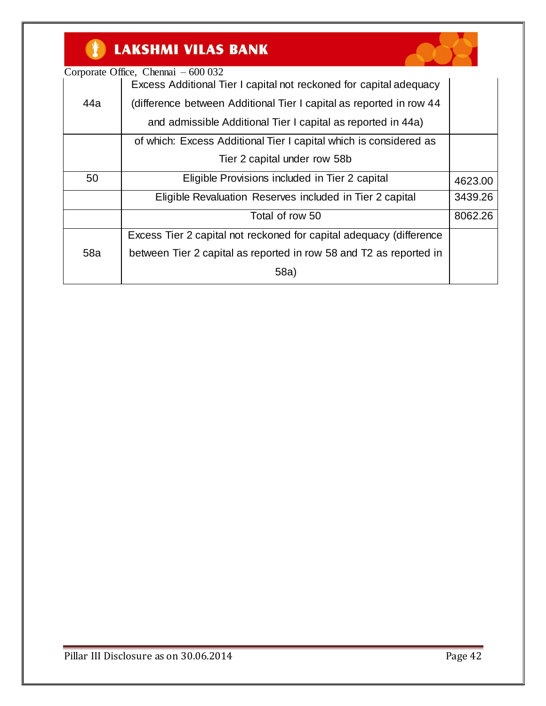# **TELESTIMI VILAS BANK**



|     | Corporate Office, Chennai $-600032$                                 |         |
|-----|---------------------------------------------------------------------|---------|
|     | Excess Additional Tier I capital not reckoned for capital adequacy  |         |
| 44a | (difference between Additional Tier I capital as reported in row 44 |         |
|     | and admissible Additional Tier I capital as reported in 44a)        |         |
|     | of which: Excess Additional Tier I capital which is considered as   |         |
|     | Tier 2 capital under row 58b                                        |         |
| 50  | Eligible Provisions included in Tier 2 capital                      | 4623.00 |
|     | Eligible Revaluation Reserves included in Tier 2 capital            | 3439.26 |
|     | Total of row 50                                                     | 8062.26 |
|     | Excess Tier 2 capital not reckoned for capital adequacy (difference |         |
| 58a | between Tier 2 capital as reported in row 58 and T2 as reported in  |         |
|     | 58a)                                                                |         |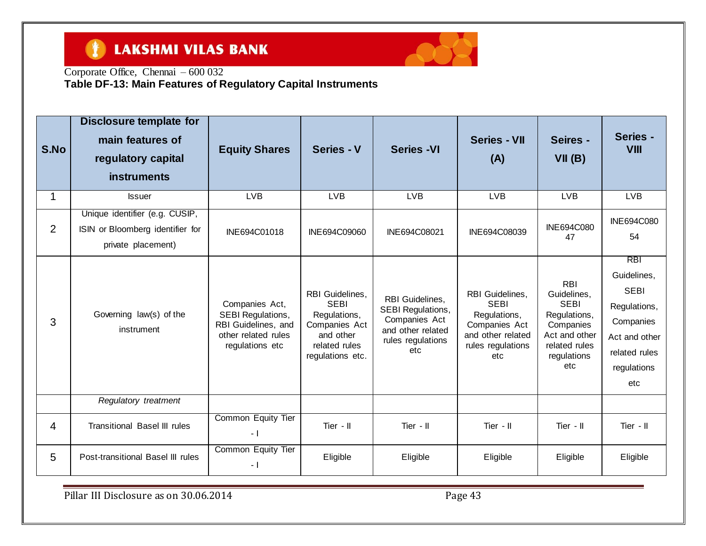#### $\bullet$ **LAKSHMI VILAS BANK**



Corporate Office, Chennai – 600 032

**Table DF-13: Main Features of Regulatory Capital Instruments**

| S.No           | Disclosure template for<br>main features of<br>regulatory capital<br><b>instruments</b>  | <b>Equity Shares</b>                                                                                        | Series - V                                                                                                        | <b>Series -VI</b>                                                                                      | <b>Series - VII</b><br>(A)                                                                                              | Seires -<br>VII(B)                                                                                                            | Series -<br><b>VIII</b>                                                                                                       |
|----------------|------------------------------------------------------------------------------------------|-------------------------------------------------------------------------------------------------------------|-------------------------------------------------------------------------------------------------------------------|--------------------------------------------------------------------------------------------------------|-------------------------------------------------------------------------------------------------------------------------|-------------------------------------------------------------------------------------------------------------------------------|-------------------------------------------------------------------------------------------------------------------------------|
| 1              | <b>Issuer</b>                                                                            | <b>LVB</b>                                                                                                  | <b>LVB</b>                                                                                                        | <b>LVB</b>                                                                                             | <b>LVB</b>                                                                                                              | <b>LVB</b>                                                                                                                    | <b>LVB</b>                                                                                                                    |
| $\overline{2}$ | Unique identifier (e.g. CUSIP,<br>ISIN or Bloomberg identifier for<br>private placement) | INE694C01018                                                                                                | INE694C09060                                                                                                      | INE694C08021                                                                                           | INE694C08039                                                                                                            | INE694C080<br>47                                                                                                              | INE694C080<br>54                                                                                                              |
| 3              | Governing law(s) of the<br>instrument                                                    | Companies Act,<br><b>SEBI Regulations,</b><br>RBI Guidelines, and<br>other related rules<br>regulations etc | RBI Guidelines,<br><b>SEBI</b><br>Regulations,<br>Companies Act<br>and other<br>related rules<br>regulations etc. | RBI Guidelines,<br>SEBI Regulations,<br>Companies Act<br>and other related<br>rules regulations<br>etc | <b>RBI</b> Guidelines,<br><b>SEBI</b><br>Regulations,<br>Companies Act<br>and other related<br>rules regulations<br>etc | <b>RBI</b><br>Guidelines,<br><b>SEBI</b><br>Regulations,<br>Companies<br>Act and other<br>related rules<br>regulations<br>etc | <b>RBI</b><br>Guidelines,<br><b>SEBI</b><br>Regulations,<br>Companies<br>Act and other<br>related rules<br>regulations<br>etc |
|                | Regulatory treatment                                                                     |                                                                                                             |                                                                                                                   |                                                                                                        |                                                                                                                         |                                                                                                                               |                                                                                                                               |
| 4              | <b>Transitional Basel III rules</b>                                                      | Common Equity Tier<br>$-1$                                                                                  | Tier - II                                                                                                         | Tier - II                                                                                              | Tier - II                                                                                                               | Tier - II                                                                                                                     | Tier - II                                                                                                                     |
| 5              | Post-transitional Basel III rules                                                        | Common Equity Tier<br>- 1                                                                                   | Eligible                                                                                                          | Eligible                                                                                               | Eligible                                                                                                                | Eligible                                                                                                                      | Eligible                                                                                                                      |

Pillar III Disclosure as on 30.06.2014 Pillar 111 Disclosure as on 30.06.2014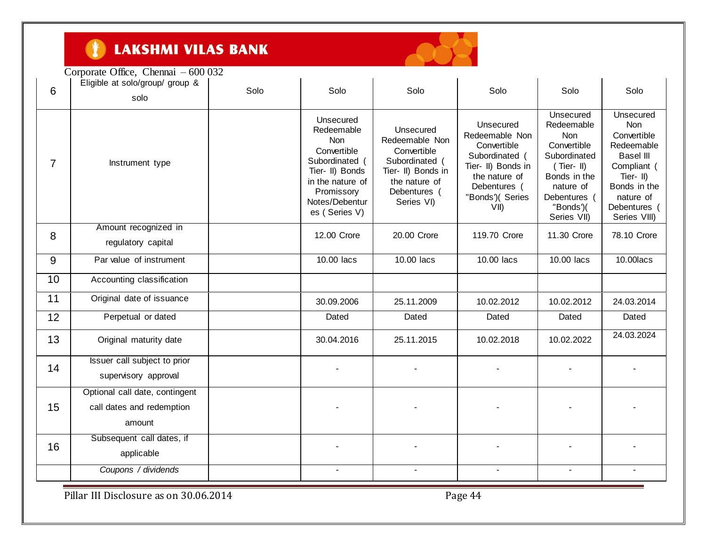

|                | Corporate Office, Chennai $-600032$                                   |      |                                                                                                                                                                |                                                                                                                                   |                                                                                                                                                 |                                                                                                                                                                |                                                                                                                                                                  |
|----------------|-----------------------------------------------------------------------|------|----------------------------------------------------------------------------------------------------------------------------------------------------------------|-----------------------------------------------------------------------------------------------------------------------------------|-------------------------------------------------------------------------------------------------------------------------------------------------|----------------------------------------------------------------------------------------------------------------------------------------------------------------|------------------------------------------------------------------------------------------------------------------------------------------------------------------|
| 6              | Eligible at solo/group/ group &<br>solo                               | Solo | Solo                                                                                                                                                           | Solo                                                                                                                              | Solo                                                                                                                                            | Solo                                                                                                                                                           | Solo                                                                                                                                                             |
| $\overline{7}$ | Instrument type                                                       |      | Unsecured<br>Redeemable<br><b>Non</b><br>Convertible<br>Subordinated (<br>Tier- II) Bonds<br>in the nature of<br>Promissory<br>Notes/Debentur<br>es (Series V) | Unsecured<br>Redeemable Non<br>Convertible<br>Subordinated (<br>Tier- II) Bonds in<br>the nature of<br>Debentures (<br>Series VI) | Unsecured<br>Redeemable Non<br>Convertible<br>Subordinated (<br>Tier- II) Bonds in<br>the nature of<br>Debentures (<br>"Bonds')( Series<br>VII) | Unsecured<br>Redeemable<br><b>Non</b><br>Convertible<br>Subordinated<br>$(Tier - II)$<br>Bonds in the<br>nature of<br>Debentures (<br>"Bonds")(<br>Series VII) | Unsecured<br><b>Non</b><br>Convertible<br>Redeemable<br><b>Basel III</b><br>Compliant (<br>Tier-II)<br>Bonds in the<br>nature of<br>Debentures (<br>Series VIII) |
| 8              | Amount recognized in<br>regulatory capital                            |      | 12.00 Crore                                                                                                                                                    | 20.00 Crore                                                                                                                       | 119.70 Crore                                                                                                                                    | 11.30 Crore                                                                                                                                                    | 78.10 Crore                                                                                                                                                      |
| 9              | Par value of instrument                                               |      | 10.00 lacs                                                                                                                                                     | 10.00 lacs                                                                                                                        | 10.00 lacs                                                                                                                                      | 10.00 lacs                                                                                                                                                     | 10.00 lacs                                                                                                                                                       |
| 10             | Accounting classification                                             |      |                                                                                                                                                                |                                                                                                                                   |                                                                                                                                                 |                                                                                                                                                                |                                                                                                                                                                  |
| 11             | Original date of issuance                                             |      | 30.09.2006                                                                                                                                                     | 25.11.2009                                                                                                                        | 10.02.2012                                                                                                                                      | 10.02.2012                                                                                                                                                     | 24.03.2014                                                                                                                                                       |
| 12             | Perpetual or dated                                                    |      | Dated                                                                                                                                                          | Dated                                                                                                                             | Dated                                                                                                                                           | Dated                                                                                                                                                          | Dated                                                                                                                                                            |
| 13             | Original maturity date                                                |      | 30.04.2016                                                                                                                                                     | 25.11.2015                                                                                                                        | 10.02.2018                                                                                                                                      | 10.02.2022                                                                                                                                                     | 24.03.2024                                                                                                                                                       |
| 14             | Issuer call subject to prior<br>supervisory approval                  |      |                                                                                                                                                                |                                                                                                                                   |                                                                                                                                                 |                                                                                                                                                                |                                                                                                                                                                  |
| 15             | Optional call date, contingent<br>call dates and redemption<br>amount |      |                                                                                                                                                                |                                                                                                                                   |                                                                                                                                                 |                                                                                                                                                                |                                                                                                                                                                  |
| 16             | Subsequent call dates, if<br>applicable                               |      |                                                                                                                                                                |                                                                                                                                   |                                                                                                                                                 |                                                                                                                                                                |                                                                                                                                                                  |
|                | Coupons / dividends                                                   |      |                                                                                                                                                                |                                                                                                                                   |                                                                                                                                                 |                                                                                                                                                                |                                                                                                                                                                  |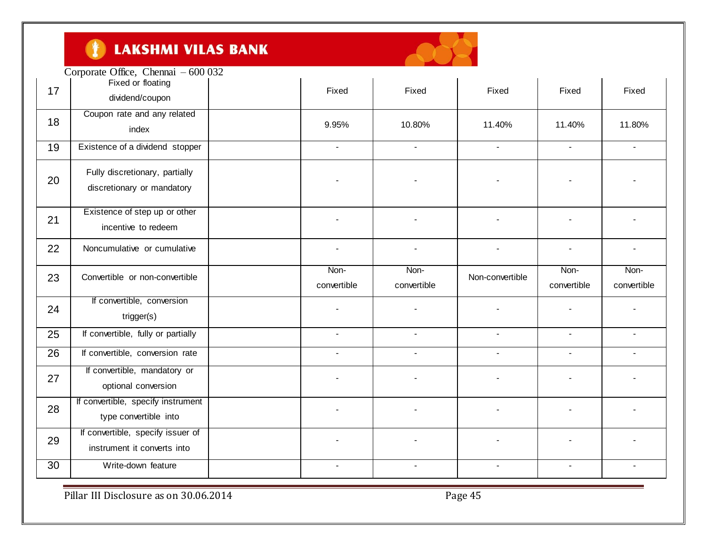

|    | Corporate Office, Chennai - 600 032                              |                |                |                 |              |                |
|----|------------------------------------------------------------------|----------------|----------------|-----------------|--------------|----------------|
| 17 | Fixed or floating<br>dividend/coupon                             | Fixed          | Fixed          | Fixed           | Fixed        | Fixed          |
| 18 | Coupon rate and any related<br>index                             | 9.95%          | 10.80%         | 11.40%          | 11.40%       | 11.80%         |
| 19 | Existence of a dividend stopper                                  | $\overline{a}$ | $\overline{a}$ | $\sim$          |              | $\blacksquare$ |
| 20 | Fully discretionary, partially<br>discretionary or mandatory     |                |                |                 |              |                |
| 21 | Existence of step up or other<br>incentive to redeem             |                |                |                 |              |                |
| 22 | Noncumulative or cumulative                                      |                |                |                 |              |                |
| 23 | Convertible or non-convertible                                   | Non-           | Non-           | Non-convertible | Non-         | Non-           |
|    |                                                                  | convertible    | convertible    |                 | convertible  | convertible    |
| 24 | If convertible, conversion<br>trigger(s)                         |                |                |                 |              |                |
| 25 | If convertible, fully or partially                               | $\blacksquare$ | $\sim$         | $\blacksquare$  | $\mathbf{r}$ | $\blacksquare$ |
| 26 | If convertible, conversion rate                                  | $\blacksquare$ | $\blacksquare$ | $\blacksquare$  | $\sim$       | $\blacksquare$ |
| 27 | If convertible, mandatory or<br>optional conversion              |                |                |                 |              |                |
| 28 | If convertible, specify instrument<br>type convertible into      |                |                |                 |              |                |
| 29 | If convertible, specify issuer of<br>instrument it converts into |                |                |                 |              |                |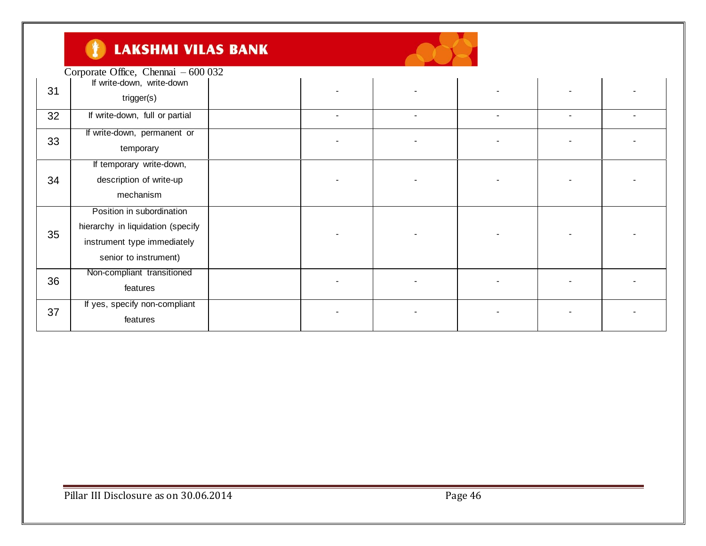#### $\bullet$ **LAKSHMI VILAS BANK**

| trigger(s)                        |                                                                                                                                                              |                                     |   |  |
|-----------------------------------|--------------------------------------------------------------------------------------------------------------------------------------------------------------|-------------------------------------|---|--|
| If write-down, full or partial    |                                                                                                                                                              |                                     | - |  |
| If write-down, permanent or       |                                                                                                                                                              |                                     |   |  |
| temporary                         |                                                                                                                                                              |                                     |   |  |
| If temporary write-down,          |                                                                                                                                                              |                                     |   |  |
| description of write-up           |                                                                                                                                                              |                                     |   |  |
| mechanism                         |                                                                                                                                                              |                                     |   |  |
| Position in subordination         |                                                                                                                                                              |                                     |   |  |
| hierarchy in liquidation (specify |                                                                                                                                                              |                                     |   |  |
|                                   |                                                                                                                                                              |                                     |   |  |
|                                   |                                                                                                                                                              |                                     |   |  |
|                                   |                                                                                                                                                              |                                     |   |  |
|                                   |                                                                                                                                                              |                                     |   |  |
|                                   |                                                                                                                                                              |                                     |   |  |
|                                   |                                                                                                                                                              |                                     |   |  |
| features                          |                                                                                                                                                              |                                     |   |  |
|                                   | If write-down, write-down<br>instrument type immediately<br>senior to instrument)<br>Non-compliant transitioned<br>features<br>If yes, specify non-compliant | Corporate Office, Chennai - 600 032 |   |  |